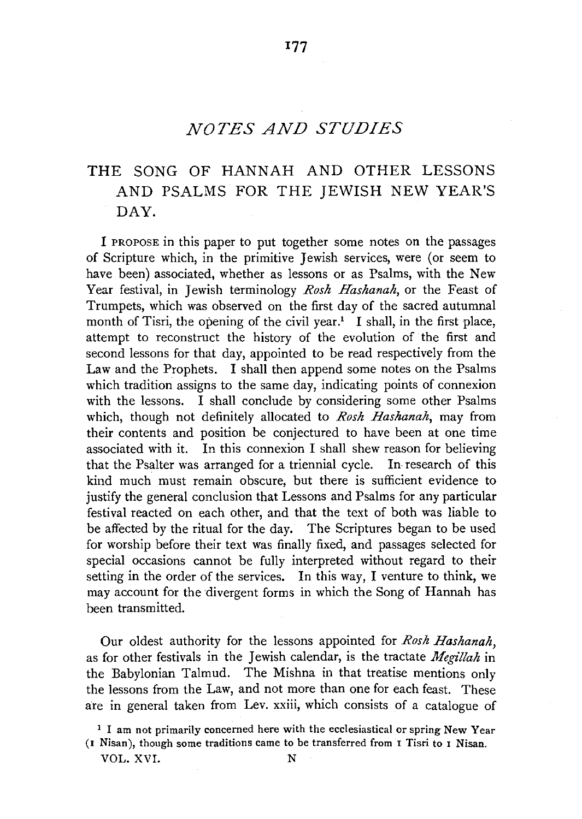# *NOTES AND STUDIES*

**177** 

# **THE** SONG OF HANNAH AND OTHER LESSONS AND PSALMS FOR THE JEWISH NEW YEAR'S DAY.

I PROPOSE in this paper to put together some notes on the passages of Scripture which, in the primitive Jewish services, were (or seem to have been) associated, whether as lessons or as Psalms, with the New Year festival, in Jewish terminology *Rosh Hashanah,* or the Feast of Trumpets, which was observed on the first day of the sacred autumnal month of Tisri, the opening of the civil year.<sup>1</sup> I shall, in the first place, attempt to reconstruct the history of the evolution of the first and second lessons for that day, appointed to be read respectively from the Law and the Prophets. I shall then append some notes on the Psalms which tradition assigns to the same day, indicating points of connexion with the lessons. I shall conclude by considering some other Psalms which, though not definitely allocated to *Rosh Hashanah,* may from their contents and position be conjectured to have been at one time associated with it. In this connexion I shall shew reason for believing that the Psalter was arranged for a triennial cycle. In research of this kind much must remain obscure, but there is sufficient evidence to justify the general conclusion that Lessons and Psalms for any particular festival reacted on each other, and that the text of both was liable to be affected by the ritual for the day. The Scriptures began to be used for worship before their text was finally fixed, and passages selected for special occasions cannot be fully interpreted without regard to their setting in the order of the services. In this way, I venture to think, we may account for the divergent forms in which the Song of Hannah has been transmitted.

Our oldest authority for the lessons appointed for *Rosh Hashanah,*  as for other festivals in the Jewish calendar, is the tractate *Megillah* in the Babylonian Talmud. The Mishna in that treatise mentions only the lessons from the Law, and not more than one for each feast. These are in general taken from Lev. xxiii, which consists of a catalogue of

<sup>&</sup>lt;sup>1</sup> I am not primarily concerned here with the ecclesiastical or spring New Year **(1** Nisan), though some traditions came to be transferred from 1 Tisri to 1 Nisan.

VOL. XVI.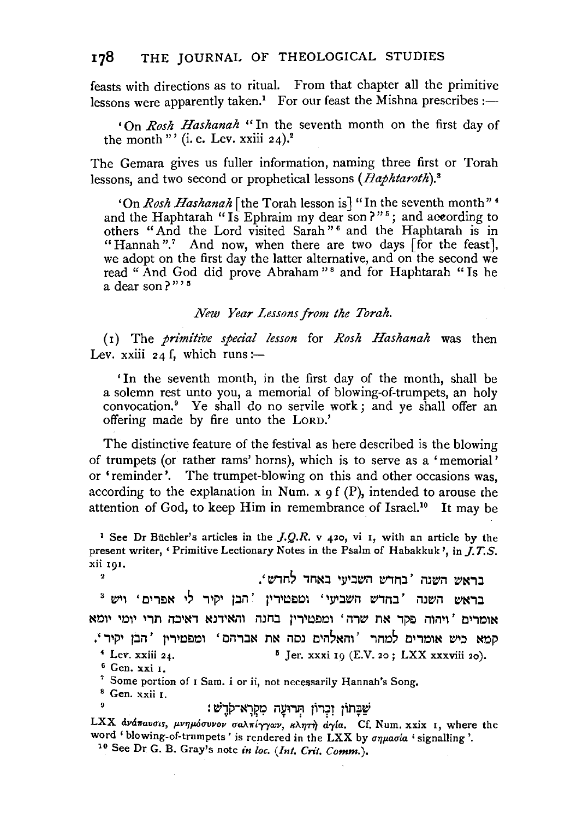feasts with directions as to ritual. From that chapter all the primitive lessons were apparently taken.<sup>1</sup> For our feast the Mishna prescribes: $-$ 

'On *Rosh Hashanah* "In the seventh month on the first day of the month"' (i.e. Lev. xxiii  $24$ ).<sup>2</sup>

The Gemara gives us fuller information, naming three first or Torah lessons, and two second or prophetical lessons *(Haphtaroth*).<sup>8</sup>

'On *Rosh Hashanah* [the Torah lesson is] "In the seventh month"<sup>4</sup> and the Haphtarah "Is Ephraim my dear son?"<sup>5</sup>; and according to others "And the Lord visited Sarah" 6 and the Haphtarah is in "Hannah".<sup>7</sup> And now, when there are two days [for the feast], we adopt on the first day the latter alternative, and on the second we read " And God did prove Abraham"<sup>8</sup> and for Haphtarah " Is he a dear son?"<sup> $"$ </sup>

*New Year Lessons from the Torah.* 

( r) The *primitive special lesson* for *Rosh Hashanah* was then Lev. xxiii  $24$  f, which runs:-

'In the seventh month, in the first day of the month, shall be a solemn rest unto you, a memorial of blowing-of-trumpets, an holy convocation.<sup>9</sup> Ye shall do no servile work; and ye shall offer an offering made by fire unto the LoRD.'

The distinctive feature of the festival as here described is the blowing of trumpets (or rather rams' horns), which is to serve as a 'memorial' or 'reminder'. The trumpet-blowing on this and other occasions was, according to the explanation in Num. x 9 f (P), intended to arouse the attention of God, to keep Him in remembrance of Israel.<sup>10</sup> It may be

<sup>1</sup> See Dr Büchler's articles in the  $J.Q.R. v$  420, vi I, with an article by the present writer, • Primitive Lectionary Notes in the Psalm of Habakkuk ', in *J. T.S.*  xii 191.

בראש השנה 'בחדש השביעי באחד לחדש',  $\overline{\mathbf{2}}$ בראש השנה 'בחדש השביעי' ומפטירין 'הבן יקיר לי אפרים' ויש <sup>3</sup> אומרים ' ויהוה פקד את שרה ' ומפטירין בחנה והאידנא דאיכה תרי יומי יומא קמא כיש אומרים למחר 'והאלהים נסה את אברהם' ומפטירין 'הבן יקיר'. *<sup>4</sup>*Lev. xxiii 2f. ~ Jer. xxxi 19 (E.V. 20; LXX xxxviii 20). 6 Gen. xxi I.

<sup>7</sup> Some portion of 1 Sam. i or ii, not necessarily Hannah's Song.  $8$  Gen. xxii 1.

שַׁבַּתוֹן זִכְרוֹן הְרוּעַה מִקְרַא־קֹדֵשׁ:

LXX ανάπαυσις, μνημόσυνον σαλπίγγων, κλητή αγία. Cf. Num. xxix I, where the word ' blowing-of-trumpets' is rendered in the LXX by  $\sigma\eta\mu\alpha\sigma\alpha$  ' signalling '. <sup>10</sup> See Dr G. B. Gray's note *in loc. (Int. Crit. Comm.*).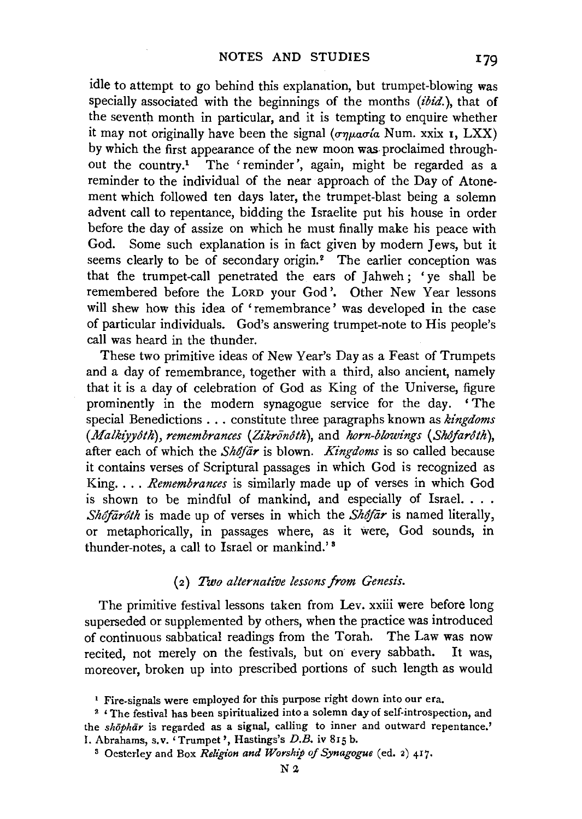idle to attempt to go behind this explanation, but trumpet-blowing was specially associated with the beginnings of the months *(ibid.),* that of the seventh month in particular, and it is tempting to enquire whether it may not originally have been the signal  $(\sigma \eta \mu a \sigma' a$  Num. xxix I, LXX) by which the first appearance of the new moon was proclaimed throughout the country.<sup>1</sup> The 'reminder', again, might be regarded as a reminder to the individual of the near approach of the Day of Atonement which followed ten days later, the trumpet-blast being a solemn advent call to repentance, bidding the Israelite put his house in order before the day of assize on which he must finally make his peace with God. Some such explanation is in fact given by modern Jews, but it seems clearly to be of secondary origin.<sup>2</sup> The earlier conception was that the trumpet-call penetrated the ears of Jahweh; 'ye shall be remembered before the LORD your God'. Other New Year lessons will shew how this idea of 'remembrance' was developed in the case of particular individuals. God's answering trumpet-note to His people's call was heard in the thunder.

These two primitive ideas of New Year's Day as a Feast of Trumpets and a day of remembrance, together with a third, also ancient, namely that it is a day of celebration of God as King of the Universe, figure prominently in the modern synagogue service for the day. 'The special Benedictions ... constitute three paragraphs known as *kingdoms (Malkiyyôth), remembrances (Zikrōnôth), and horn-blowings (Shôfarôth),* after each of which the *SMfiir* is blown. *Kingdoms* is so called because it contains verses of Scriptural passages in which God is recognized as King. . . . *Remembrances* is similarly made up of verses in which God is shown to be mindful of mankind, and especially of Israel. . . . *Shôfārôth* is made up of verses in which the *Shôfār* is named literally, or metaphorically, in passages where, as it were, God sounds, in thunder-notes, a call to Israel or mankind.' 8

### ( 2) *Two alternat£ve lessons from Genesis.*

The primitive festival lessons taken from Lev. xxiii were before long superseded or supplemented by others, when the practice was introduced of continuous sabbatical readings from the Torah. The Law was now recited, not merely on the festivals, but on· every sabbath. It was, moreover, broken up into prescribed portions of such length as would

<sup>&</sup>lt;sup>1</sup> Fire-signals were employed for this purpose right down into our era.<br><sup>2</sup> 'The festival has been spiritualized into a solemn day of self-introspection, and the *shōphār* is regarded as a signal, calling to inner and outward repentance.' I. Abrahams, s.v. 'Trumpet', Hastings's D.B. iv 815 b.

<sup>8</sup> Oesterley and Box *Religion and Worship of Synagogue* (ed. 2) 417.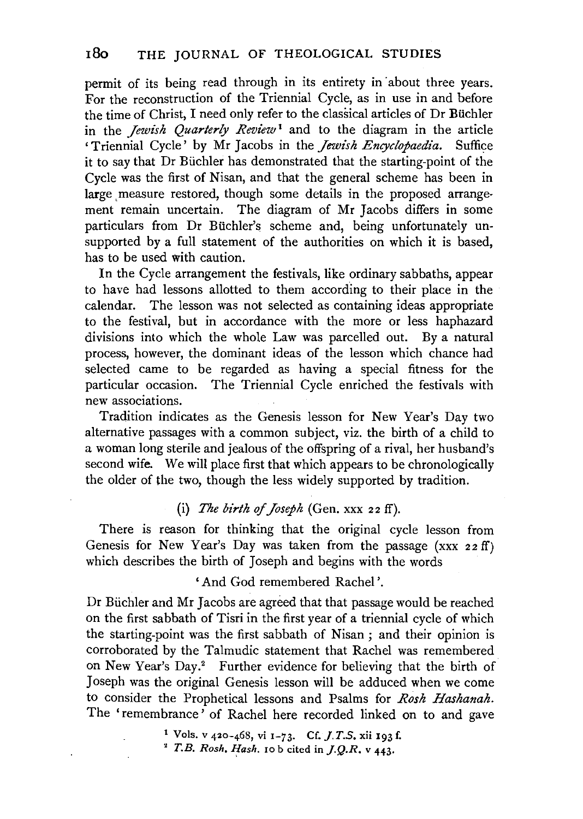permit of its being read through in its entirety in about three years. For the reconstruction of the Triennial Cycle, as in use in and before the time of Christ, I need only refer to the classical articles of Dr Biichler in the *Jewish Quarterly Review* 1 and to the diagram in the article 'Triennial Cycle' by Mr Jacobs in the *Jewish Encyclopaedia*. Suffice it to say that Dr Biichler has demonstrated that the starting-point of the Cycle was the first of Nisan, and that the general scheme has been in large measure restored, though some details in the proposed arrangement remain uncertain. The diagram of Mr Jacobs differs in some particulars from Dr Biichler's scheme and, being unfortunately unsupported by a full statement of the authorities on which it is based, has to be used with caution.

In the Cycle arrangement the festivals, like ordinary sabbaths, appear to have had lessons allotted to them according to their place in the calendar. The lesson was not selected as containing ideas appropriate to the festival, but in accordance with the more or less haphazard divisions into which the whole Law was parcelled out. By a natural process, however, the dominant ideas of the lesson which chance had selected came to be regarded as having a special fitness for the particular occasion. The Triennial Cycle enriched the festivals with new associations.

Tradition indicates as the Genesis lesson for New Year's Day two alternative passages with a common subject, viz. the birth of a child to a woman long sterile and jealous of the offspring of a rival, her husband's second wife. We will place first that which appears to be chronologically the older of the two, though the less widely supported by tradition.

# (i) *The birth of Joseph* (Gen. xxx 22 ff).

There is reason for thinking that the original cycle lesson from Genesis for New Year's Day was taken from the passage (xxx 22 ff) which describes the birth of Joseph and begins with the words

'And God remembered Rachel '.

Dr Büchler and Mr Jacobs are agreed that that passage would be reached on the first sabbath of Tisri in the first year of a triennial cycle of which the starting-point was the first sabbath of Nisan ; and their opinion is corroborated by the Talmudic statement that Rachel was remembered on New Year's Day.<sup>2</sup> Further evidence for believing that the birth of Joseph was the original Genesis lesson will be adduced when we come to consider the Prophetical lessons and Psalms for *Rosh Hashanah.*  The 'remembrance' of Rachel here recorded linked on to and gave

> 1 Vols. v 420-468, vi r-73. Cf. *J.T.S.* xii 193 f.  $^2$  *T.B. Rosh. Hash.* 10 b cited in  $J.Q.R. v$  443.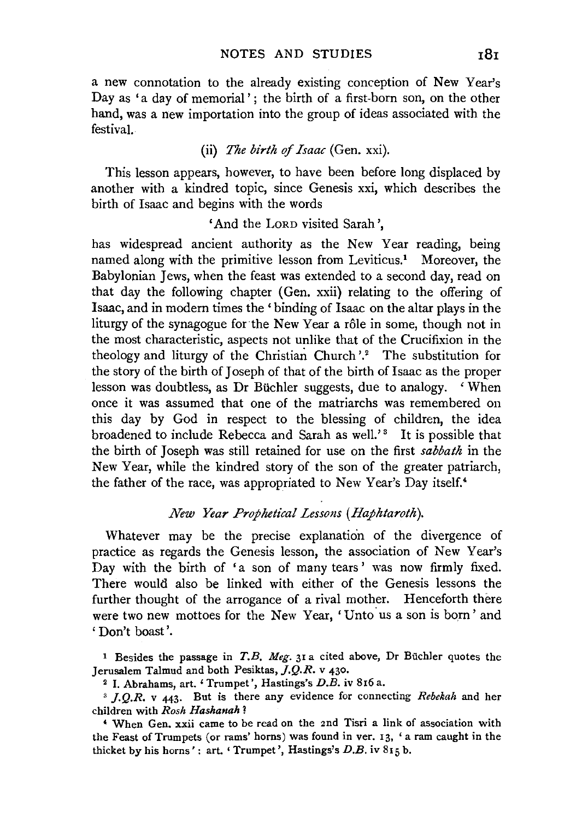a new connotation to the already existing conception of New Year's Day as 'a day of memorial'; the birth of a first-born son, on the other hand, was a new importation into the group of ideas associated with the festival.

## (ii) *The birth of Isaac* (Gen. xxi).

This lesson appears, however, to have been before long displaced by another with a kindred topic, since Genesis xxi, which describes the birth of Isaac and begins with the words

# 'And the LoRD visited Sarah ',

has widespread ancient authority as the New Year reading, being named along with the primitive lesson from Leviticus.<sup>1</sup> Moreover, the Babylonian Jews, when the feast was extended to a second day, read on that day the following chapter (Gen. xxii) relating to the offering of Isaac, and in modern times the 'binding of Isaac on the altar plays in the liturgy of the synagogue for the New Year a rôle in some, though not in the most characteristic, aspects not unlike that of the Crucifixion in the theology and liturgy of the Christian Church'.<sup>2</sup> The substitution for the story of the birth of Joseph of that of the birth of Isaac as the proper lesson was doubtless, as Dr Büchler suggests, due to analogy. 'When once it was assumed that one of the matriarchs was remembered on this day by God in respect to the blessing of children, the idea broadened to include Rebecca and Sarah as well.'<sup>3</sup> It is possible that the birth of Joseph was still retained for use on the first *sabbath* in the New Year, while the kindred story of the son of the greater patriarch, the father of the race, was appropriated to New Year's Day itself.<sup>4</sup>

# *New Year Prophetical Lessons (Haphtaroth).*

Whatever may be the precise explanation of the divergence of practice as regards the Genesis lesson, the association of New Year's Day with the birth of 'a son of many tears ' was now firmly fixed. There would also be linked with either of the Genesis lessons the further thought of the arrogance of a rival mother. Henceforth there were two new mottoes for the New Year, 'Unto us a son is born' and ' Don't boast '.

<sup>1</sup> Besides the passage in  $T.B.$  Meg. 31 a cited above, Dr Büchler quotes the Jerusalem Talmud and both Pesiktas, *].Q.R.* v 430.

<sup>2</sup>I. Abrahams, art. 'Trumpet', Hastings's D.B. iv 816 a. 3 *j.Q.R.* v 443· But is there any evidence for connecting *Rebekah* and her children with *Rosh Hashanah 1* 

<sup>4</sup> When Gen. xxii came to be read on the 2nd Tisri a link of association with the Feast of Trumpets (or rams' horns) was found in ver. 13, 'a ram caught in the thicket by his horns': art. 'Trumpet', Hastings's  $D.B.$  iv  $815 b.$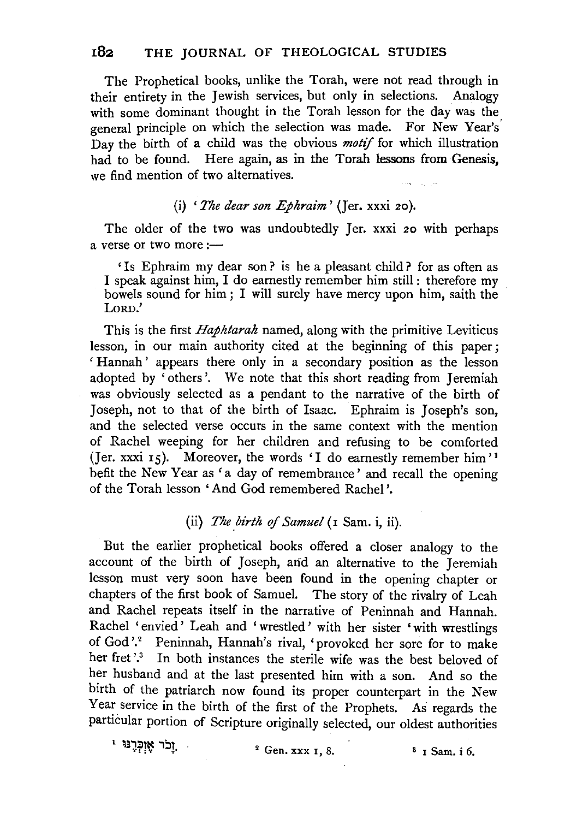# **182** THE JOURNAL OF THEOLOGICAL STUDIES

The Prophetical books, unlike the Torah, were not read through in their entirety in the Jewish services, but only in selections. Analogy with some dominant thought in the Torah lesson for the day was the general principle on which the selection was made. For New Year's' Day the birth of a child was the obvious *motif* for which illustration had to be found. Here again, as in the Torah lessons from Genesis, we find mention of two alternatives.

### (i) *'The dear son Ephraim'* (Jer. xxxi 20).

The older of the two was undoubtedly Jer. xxxi 20 with perhaps a verse or two more  $:$ ---

' Is Ephraim my dear son ? is he a pleasant child ? for as often as I speak against him, I do earnestly remember him still : therefore my bowels sound for him ; I will surely have mercy upon him, saith the LORD.'

This is the first *Haphtarah* named, along with the primitive Leviticus lesson, in our main authority cited at the beginning of this paper ; ' Hannah' appears there only in a secondary position as the lesson adopted by 'others'. We note that this short reading from Jeremiah was obviously selected as a pendant to the narrative of the birth of Joseph, not to that of the birth of Isaac. Ephraim is Joseph's son, and the selected verse occurs in the same context with the mention of Rachel weeping for her children and refusing to be comforted (Jer. xxxi 15). Moreover, the words 'I do earnestly remember him' 1 befit the New Year as 'a day of remembrance' and recall the opening of the Torah lesson 'And God remembered Rachel '.

# (ii) *The birth of Samuel* (1 Sam. i, ii).

But the earlier prophetical books offered a closer analogy to the account of the birth of Joseph, and an alternative to the Jeremiah lesson must very soon have been found in the opening chapter or chapters of the first book of Samuel. The story of the rivalry of Leah and Rachel repeats itself in the narrative of Peninnah and Hannah. Rachel 'envied' Leah and 'wrestled' with her sister 'with wrestlings of God'! Peninnah, Hannah's rival, 'provoked her sore for to make her fret'.<sup>3</sup> In both instances the sterile wife was the best beloved of her husband and at the last presented him with a son. And so the birth of the patriarch now found its proper counterpart in the New Year service in the birth of the first of the Prophets. As regards the particular portion of Scripture originally selected, our oldest authorities

ַוֹ<sup>בֹר</sup> אֶזְכְּרֶנּוּ י

 $2 \text{ Gen. } \text{xxx} \space 1, 8.$   $3 \text{ I Sam. } i \space 6.$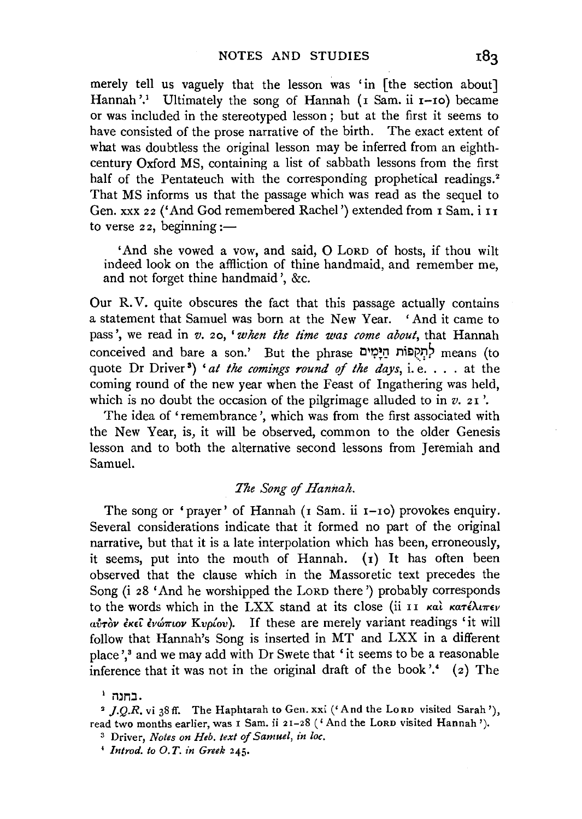merely tell us vaguely that the lesson was 'in [the section about] Hannah'.<sup>1</sup> Ultimately the song of Hannah (I Sam. ii I-Io) became or was included in the stereotyped lesson ; but at the first it seems to have consisted of the prose narrative of the birth. The exact extent of what was doubtless the original lesson may be inferred from an eighthcentury Oxford MS, containing a list of sabbath lessons from the first half of the Pentateuch with the corresponding prophetical readings.<sup>2</sup> That MS informs us that the passage which was read as the sequel to Gen. xxx 22 ('And God remembered Rachel') extended from I Sam. i II to verse  $22$ , beginning:-

'And she vowed a vow, and said, 0 LoRD of hosts, if thou wilt indeed look on the affliction of thine handmaid, and remember me, and not forget thine handmaid ', &c.

Our R. V. quite obscures the fact that this passage actually contains a statement that Samuel was born at the New Year. 'And it came to pass', we read in *v.* 20, *'when the time was come about,* that Hannah conceived and bare a son.' But the phrase לְתִקְפּוֹת הַיָּמִים uote Dr Driver<sup>3</sup>) *'at the comings round of the days,* i.e. . . . at the coming round of the new year when the Feast of Ingathering was held, which is no doubt the occasion of the pilgrimage alluded to in  $v$ . 21'.

The idea of 'remembrance', which was from the first associated with the New Year, is, it will be observed, common to the older Genesis lesson and to both the alternative second lessons from Jeremiah and Samuel.

## *The Song* of *Hannah.*

The song or 'prayer' of Hannah (1 Sam. ii 1-10) provokes enquiry. Several considerations indicate that it formed no part of the original narrative, but that it is a late interpolation which has been, erroneously, it seems, put into the mouth of Hannah. (1) It has often been observed that the clause which in the Massoretic text precedes the Song (i 28 'And he worshipped the LoRD there') probably corresponds to the words which in the LXX stand at its close (ii II και κατέλιπεν *avTov lK£1: lvwmov Kvp{ov* ). If these are merely variant readings 'it will follow that Hannah's Song is inserted in MT and LXX in a different place',<sup>3</sup> and we may add with Dr Swete that 'it seems to be a reasonable inference that it was not in the original draft of the book'.<sup>4</sup> (2) The

<sup>&#</sup>x27; mn:J. • *].Q.R.* vi 38 ff. The Haphtarah to Gen. xxi ('And the LoRD visited Sarah '), read two months earlier, was I Sam. ii 21-28 ('And the LoRD visited Hannah').

<sup>3</sup> Driver, *Notes on Heb. text of Samuel, in loc.* 

<sup>&#</sup>x27; *Introd. to* 0. *T. in Greek* 245·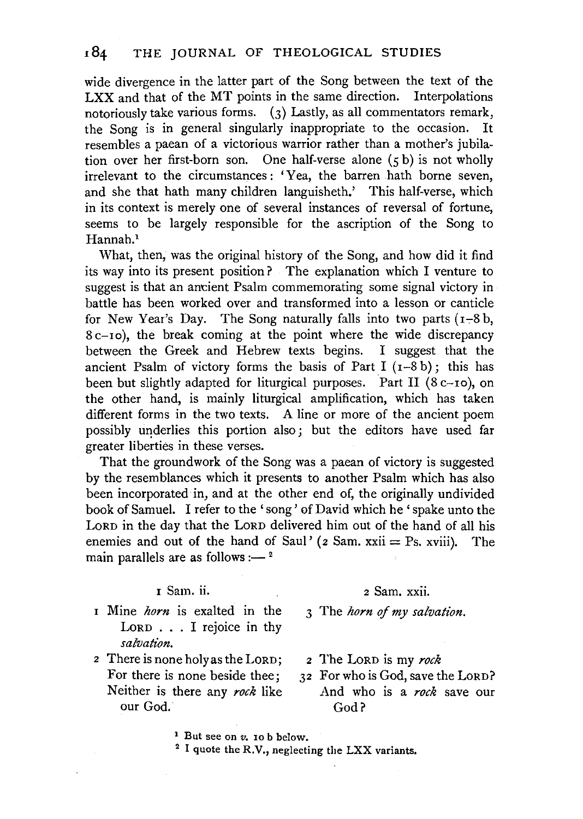wide divergence in the latter part of the Song between the text of the LXX and that of the MT points in the same direction. Interpolations notoriously take various forms. (3) Lastly, as all commentators remark, the Song is in general singularly inappropriate to the occasion. It resembles a paean of a victorious warrior rather than a mother's jubilation over her first-born son. One half-verse alone (5 b) is not wholly irrelevant to the circumstances : 'Yea, the barren hath borne seven, and she that hath many children languisheth.' This half-verse, which in its context is merely one of several instances of reversal of fortune, seems to be largely responsible for the ascription of the Song to Hannah.<sup>1</sup>

What, then, was the original history of the Song, and how did it find its way into its present position? The explanation which I venture to suggest is that an ancient Psalm commemorating some signal victory in battle has been worked over and transformed into a lesson or canticle for New Year's Day. The Song naturally falls into two parts  $(1-8b, 1)$ 8 c-10), the break coming at the point where the wide discrepancy between the Greek and Hebrew texts begins. I suggest that the ancient Psalm of victory forms the basis of Part I  $(1-8b)$ ; this has been but slightly adapted for liturgical purposes. Part II (8 c-10), on the other hand, is mainly liturgical amplification, which has taken different forms in the two texts. A line or more of the ancient poem possibly underlies this portion also; but the editors have used far greater liberties in these verses.

That the groundwork of the Song was a paean of victory is suggested by the resemblances which it presents to another Psalm which has also been incorporated in, and at the other end of, the originally undivided book of Samuel. I refer to the 'song' of David which he 'spake unto the LORD in the day that the LoRD delivered him out of the hand of all his enemies and out of the hand of Saul' ( $2$  Sam.  $xxi = Ps$ .  $xviii$ ). The main parallels are as follows : $-$ <sup>2</sup>

### <sup>I</sup>Sam. ii.

- <sup>I</sup>Mine *horn* is exalted in the LORD . . . I rejoice in thy *salvation.*
- <sup>2</sup>There is none holy as the LORD; For there is none beside thee; Neither is there any *rock* like our God.

### 2 Sam. xxii.

3 The *horn* of *my salvation.* 

- <sup>2</sup>The LoRD is my *rock*
- 32 For who is God, save the LoRD? And who is a *rock* save our God?
- 
- <sup>1</sup> But see on  $v$ . 10 b below.<br><sup>2</sup> I quote the R.V., neglecting the LXX variants.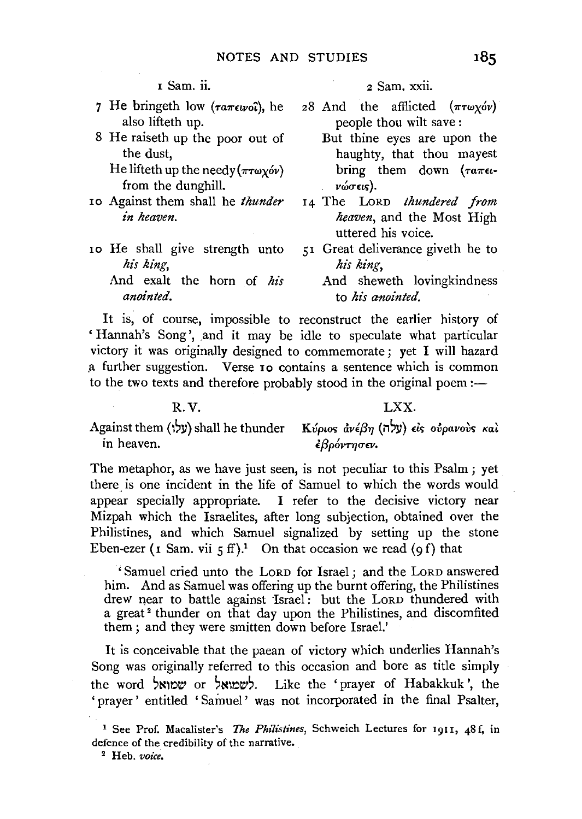- 7 He bringeth low ( $\tau a \pi \epsilon \nu o \hat{\imath}$ ), he also lifteth up.
- 8 He raiseth up the poor out of the dust,

He lifteth up the needy  $(\pi r \omega_X \acute{\omega} \nu)$ from the dunghill.

- ro Against them shall he *thunder in heaven.*
- ro He shall give strength unto *his king,*  And exalt the horn of *his anointed.*

1 Sam. ii. 2 Sam. xxii.

- 28 And the afflicted  $(\pi \tau \omega_X \acute{\omega} \nu)$ people thou wilt save:
	- But thine eyes are upon the haughty, that thou mayest bring them down ( $\tau a \pi \epsilon \iota$  $ν$ ώσεις).
- 14 The LoRD *thundered from heaven,* and the Most High uttered his voice.
- 5 r Great deliverance giveth he to *his king,*
- And sheweth lovingkindness to *his anointed.*

It is, of course, impossible to reconstruct the earlier history of 'Hannah's Song', and it may be idle to speculate what particular victory it was originally designed to commemorate ; yet I will hazard .a further suggestion. Verse ro contains a sentence which is common to the two texts and therefore probably stood in the original poem :-

### R.V.

LXX.

Against them (l,ll) shall he thunder *Kvpwc; avlf3YJ* (i1,ll) de; *ovpavoilc; Kat*  in heaven. *£f3p6VTYJCT£V,* 

The metaphor, as we have just seen, is not peculiar to this Psalm; yet there is one incident in the life of Samuel to which the words would appear specially appropriate. I refer to the decisive victory near Mizpah which the Israelites, after long subjection, obtained over the Philistines, and which Samuel signalized by setting up the stone Eben-ezer  $(r \text{ Sam. vii } f \text{ ff})$ . On that occasion we read  $(g f)$  that

' Samuel cried unto the LoRD for Israel ; and the LoRD answered him. And as Samuel was offering up the burnt offering, the Philistines drew near to battle against Israel: but the LoRD thundered with a great<sup>2</sup> thunder on that day upon the Philistines, and discomfited them ; and they were smitten down before Israel.'

It is conceivable that the paean of victory which underlies Hannah's Song was originally referred to this occasion and bore as title simply the word yלשמואל or :הראשמואל. Like the 'prayer of Habakkuk', the 'prayer' entitled 'Samuel' was not incorporated in the final Psalter,

<sup>1</sup> See Prof. Macalister's *The Philistines,* Schweich Lectures for 1911, 48 f, in defence of the credibility of the narrative. 2 Heb. *voice.*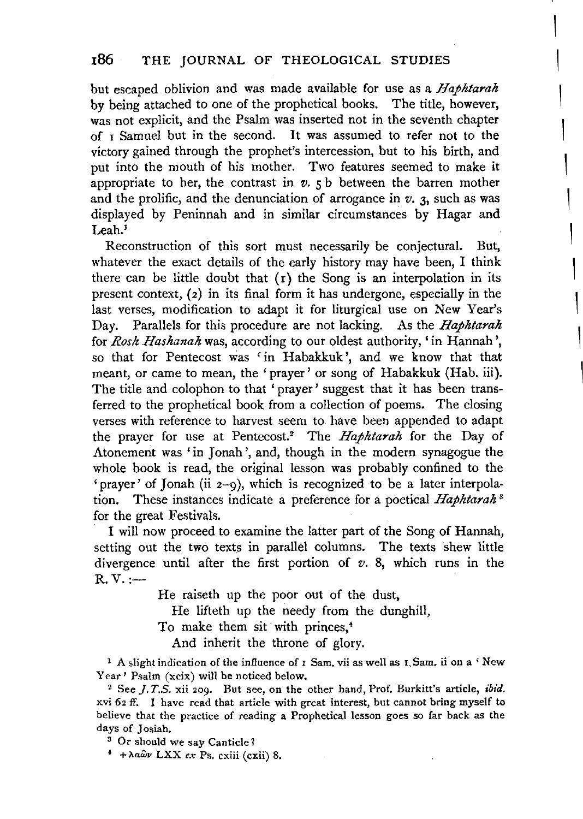but escaped oblivion and was made available for use as a Haphtarah by being attached to one of the prophetical books. The title, however, was not explicit, and the Psalm was inserted not in the seventh chapter of  $r$  Samuel but in the second. It was assumed to refer not to the victory gained through the prophet's intercession, but to his birth, and put into the mouth of his mother. Two features seemed to make it appropriate to her, the contrast in  $v$ .  $\zeta$  b between the barrom mother and the prolific, and the denunciation of arrogance in  $v$ , 3, such as was  $\frac{1}{2}$ a cy reminum and in somial encampaires by ringul and Leah.<sup>1</sup><br>Reconstruction of this sort must necessarily be conjectural. But,

186 THE JOURNAL OF THE JOURNAL OF THE JOURNAL OF THE JOURNAL OF THE JOURNAL OF THE JOURNAL OF THE JOURNAL OF T<br>186 THEOLogical Studies of the Journal of the Journal of the Journal of the Journal of the Journal of the Journ

whatever the exact details of the early history may have been, I think there can be little doubt that  $(r)$  the Song is an interpolation in its present context,  $(z)$  in its final form it has undergone, especially in the last verses, modification to adapt it for liturgical use on New Year's Day, Parallels for this procedure are not lacking. As the *Haphtarah* for Rosh Hashanah was, according to our oldest authority, 'in Hannah', so that for Pentecost was 'in Habakkuk', and we know that that meant, or came to mean, the 'prayer' or song of Habakkuk (Hab. iii). The title and colophon to that 'prayer' suggest that it has been transferred to the prophetical book from a collection of poems. The closing verses with reference to harvest seem to have been appended to adapt the prayer for use at Pentecost.<sup>2</sup> The Haphtarah for the Day of Atonement was 'in Jonah', and, though in the modern synagogue the whole book is read, the original lesson was probably confined to the 'prayer' of Jonah (ii  $2\text{--}9$ ), which is recognized to be a later interpola $f(x)$  the great function  $f(x)$ .  $\frac{1}{100}$  is the latter to examine the latter part of the song of  $\frac{1}{100}$  of  $\frac{1}{100}$  of  $\frac{1}{100}$ for the great Festivals.<br>I will now proceed to examine the latter part of the Song of Hannah.

divergence until a first portion of *after the first portion of the first* portion of *v. a. b. b. b. c. b. b. c.* which runs in the *v. a. b. b. c. b. c. b. c. b. c. b. c.* b. c. b. c. b. c. b. c. b. c. b. c. b. c. b. c. g out the<br>-----divergence until after the first portion of  $v$ . 8, which runs in the  $R. V. :=$ 

> He raiseth up the poor out of the dust,  $T_{\text{total}}$  is the poor our or the due

And in the throne of glorid the throne of glorid throne of glorid through the throne of glorid through the throne of glorid through the throne of glorid through the through the through the through the through the through t

To make them sit with princes,<sup>4</sup> And inherit the throne of glory.

<sup>1</sup> A slight indication of the influence of 1 Sam. vii as well as 1, Sam. ii on a 'New Year ' Psalm  $(xeix)$  will be noticed below.

<sup>2</sup> See *J.T.S.* xii 209. But see, on the other hand, Prof. Burkitt's article, *ibid.* xvi 62 ff. 1 have read that article with great interest, but cannot bring myself to believe that the practice of reading a Prophetical lesson goes so far back as the days of Josiah.<br><sup>3</sup> Or should we say Canticle?

 $*$  +  $\lambda a \hat{\omega} \nu$  LXX ex Ps. exiii (exii) 8.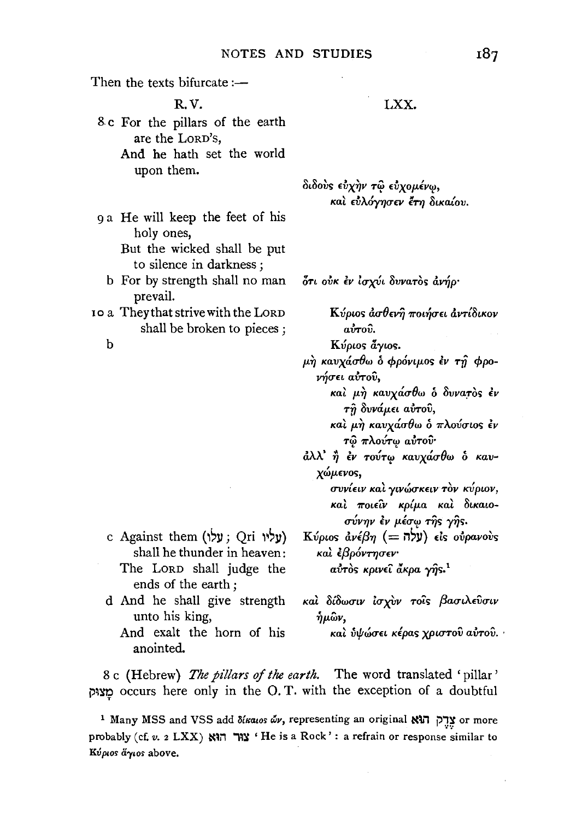Then the texts bifurcate  $:$ R.V. 8 c For the pillars of the earth are the LoRD's, And he bath set the world upon them. 9 a He will keep the feet of his holy ones, But the wicked shall be put to silence in darkness ; b For by strength shall no man prevail. xo a Theythatstrivewith the LORD shall be broken to pieces ; b

- c Against them (עליו; Qri עליו; shall he thunder in heaven: The LORD shall judge the ends of the earth ;
- d And he shall give strength unto his king,
	- And exalt the horn of his anointed.

 $\delta$ ιδούς εύχην τω εύχομένω, και εύλόγησεν έτη δικαίου.

ότι ούκ έν ίσχύι δυνατός άνήρ·

 $\boldsymbol{K}$ ύριος ἀσθενῆ ποιήσει ἀντίδικον  $a\overset{*}{v}a\overset{_{\circ}}{v}b$ .

*K<i>v*<sub>ριος</sub> *άγιος.* 

p.~ *KavxauOw* o *cppc'mp.os lv TV cppo-* , > <sup>A</sup>*V'Y/U£L aVTov,* 

Ka~ p.~ *KavxauOw* o *llvva:ros lv Tii avvap.n awov,* 

Ka~ p.~ *KavxauOw* o *1r>..ovuws lv*  **-r<i>** *1rAoV-r'l? aVToiJ·* 

 $d\lambda\lambda'$  ή *έν τούτω καυχάσθω* ο *καυ-*X~JL£vos, , ' , ' , *uvvtnv Kat ywwuK£LV Tov KVpwv,* 

 $k$ καί ποιείν κρίμα καί δικαιο $σ$ *Úνην εν μέσω της γής.* 

*Kύριοs ἀνέβη* (= iγ) είς ούρανούς καὶ *ἐβρόντησεν* a<del>ύτ</del>òs κρινεῖ ἄκρα γῆs.<sup>1</sup>

**Kat** *8i0w<TtV lux\_Vv* **To'ir;** *{3aut.'>t.£Vrrtv*   $\eta \mu \hat{\omega} \nu$ 

Ka~ iltf;~u£L *Ktpa<; XPLUTOV avTOV .* .

8 c (Hebrew) *The pillars of the earth.* The word translated 'pillar' מצוק occurs here only in the O.T. with the exception of a doubtful

1 Many MSS and VSS add  $\delta$ katos dv, representing an original  $\mathbb{N}$ ינה or more probably (cf. *v.* 2 LXX) אה 'He is a Rock': a refrain or response similar to *KVplO< a'YIO<* above.

LXX.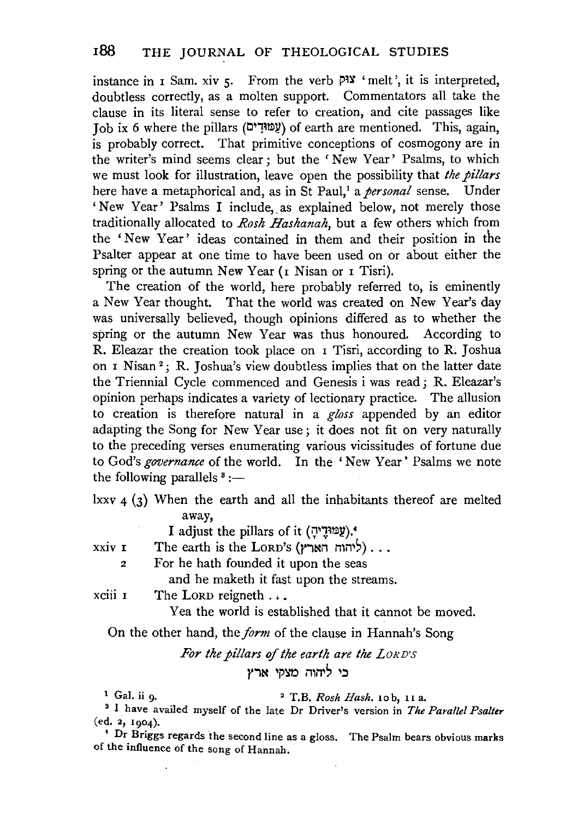instance in  $I$  Sam. xiv  $I$ . From the verb  $PIY$  'melt', it is interpreted, doubtless correctly, as a molten support. Commentators all take the clause in its literal sense to refer to creation, and cite passages like Job ix 6 where the pillars (עַמוּדִים) of earth are mentioned. This, again, is probably correct. That primitive conceptions of cosmogony are in the writer's mind seems clear; but the 'New Year' Psalms, to which we must look for illustration, leave open the possibility that *the pillars*  here have a metaphorical and, as in St Paul/ a *personal* sense. Under 'New Year' Psalms I include, as explained below, not merely those traditionally allocated to *Rosh Hashanah,* but a few others which from the ' New Year' ideas contained in them and their position in the Psalter appear at one time to have been used on or about either the spring or the autumn New Year (1 Nisan or 1 Tisri).

The creation of the world, here probably referred to, is eminently a New Year thought. That the world was created on New Year's day was universally believed, though opinions differed as to whether the spring or the autumn New Year was thus honoured. According to R. Eleazar the creation took place on I Tisri, according to R. Joshua on I Nisan 2 ; R. Joshua's view doubtless implies that on the latter date the Triennial Cycle commenced and Genesis i was read; R. Eleazar's opinion perhaps indicates a variety of lectionary practice. The allusion to creation is therefore natural in a *gloss* appended by an editor adapting the Song for New Year use ; it does not fit on very naturally to the preceding verses enumerating various vicissitudes of fortune due to God's *governance* of the world. In the ' New Year ' Psalms we note the following parallels  $s$  :-

lxxv 4 (3) When the earth and all the inhabitants thereof are melted away,

I adjust the pillars of it (עֲמוּדָיהָ).

XXlV I The earth is the LORD's (ליהוה הארץ)...

2 For he hath founded it upon the seas

and he maketh it fast upon the streams.

xciii 1 The Lorp reigneth . . .

Yea the world is established that it cannot be moved.

On the other hand, the *form* of the clause in Hannah's Song

# *For the pillars* of *the earth are the LoRD'S*  בי ליהוה מצקי ארץ

1 Gal. ii 9· 2 T.B. *Rash Hash.* 10 b, II a. 3 I have availed myself of the late Dr Driver's version in *The Parallel Psalter*  (ed. 2, 1904).

• Dr Briggs regards the second line as a gloss. The Psalm bears obvious marks of the influence of the song of Hannah.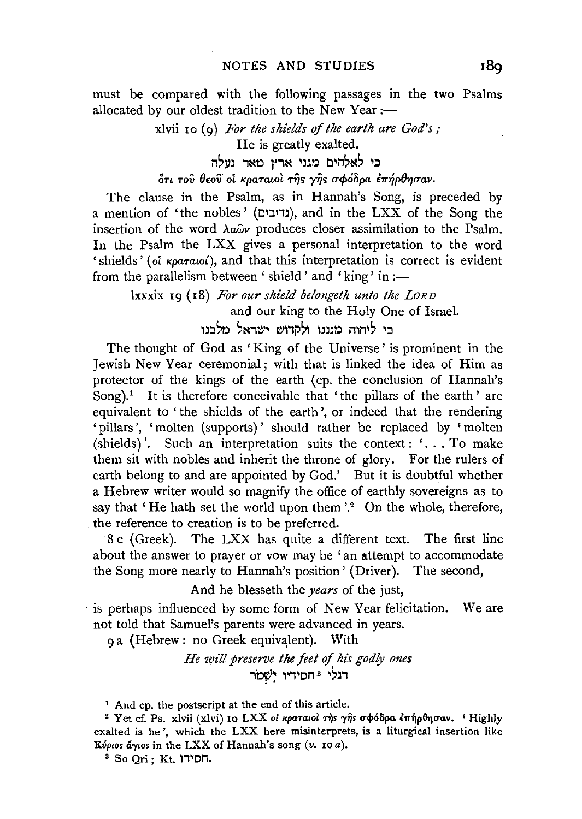must be compared with the following passages in the two Psalms allocated by our oldest tradition to the New Year : $-$ 

# xlvii 10 (9) *For the shields of the earth are God's;*  He is greatly exalted.

בי לאלהים מגני ארץ מאר נעלה

# 6n *Tov 0£0v ot KpaTatol* ri]> y~> *crcf>68pa* E7r~pOYJcrav.

The clause in the Psalm, as in Hannah's Song, is preceded by a mention of 'the nobles' (נדיבים), and in the LXX of the Song the insertion of the word  $\lambda a \hat{\omega} v$  produces closer assimilation to the Psalm. In the Psalm the LXX gives a personal interpretation to the word ' shields' (oi Kparaw<sup>{</sup>), and that this interpretation is correct is evident from the parallelism between 'shield' and 'king' in  $:=$ 

lxxxix 19 (18) *For our shield belongeth unto the LORD*  and our king to the Holy One of Israel. בי ליהוה מנננו ולקדוש ישראל מלבו

The thought of God as 'King of the Universe' is prominent in the Jewish New Year ceremonial ; with that is linked the idea of Him as protector of the kings of the earth (cp. the conclusion of Hannah's Song).<sup>1</sup> It is therefore conceivable that 'the pillars of the earth' are equivalent to 'the shields of the earth', or indeed that the rendering 'pillars', 'molten (supports)' should rather be replaced by 'molten (shields)'. Such an interpretation suits the context:  $\ldots$  To make them sit with nobles and inherit the throne of glory. For the rulers of earth belong to and are appointed by God.' But it is doubtful whether a Hebrew writer would so magnify the office of earthly sovereigns as to say that 'He hath set the world upon them'.<sup>2</sup> On the whole, therefore, the reference to creation is to be preferred.

8 c (Greek). The LXX has quite a different text. The first line about the answer to prayer or vow may be 'an attempt to accommodate the Song more nearly to Hannah's position' (Driver). The second,

And he blesseth the *years* of the just,

· is perhaps influenced by some form of New Year felicitation. We are not told that Samuel's parents were advanced in years.

9a (Hebrew: no Greek equivalent). With

*He will preserve the feet of his godly ones*  .<br>רגלי \*חסידיו יִשְׁמ

<sup>1</sup> And cp. the postscript at the end of this article.

<sup>&</sup>lt;sup>2</sup> Yet cf. Ps. xlvii (xlvi) 10 LXX oi κραταιοί της γης σφόδρα έπήρθησαν. 'Highly exalted is he', which the LXX here misinterprets, is a liturgical insertion like *Kvptos*  $\tilde{a}$ *ytos* in the LXX of Hannah's song  $(v.$  10*a*).<br><sup>3</sup> So Qri ; Kt. **'**11'D<sub>1</sub>.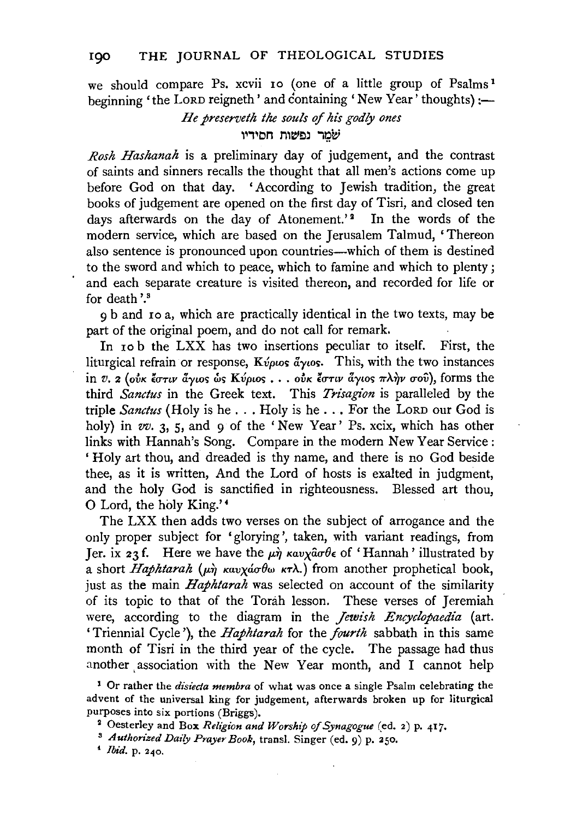we should compare Ps. xcvii 10 (one of a little group of Psalms 1 beginning 'the LORD reigneth' and containing 'New Year' thoughts) :-

> *He preserveth the souls of his godly ones*  שמר נפשות חסידיו

*Rosh Hashanah* is a preliminary day of judgement, and the contrast of saints and sinners recalls the thought that all men's actions come up before God on that day. 'According to Jewish tradition, the great books of judgement are opened on the first day of Tisri, and closed ten days afterwards on the day of Atonement.'<sup>2</sup> In the words of the modern service, which are based on the Jerusalem Talmud, 'Thereon also sentence is pronounced upon countries-which of them is destined to the sword and which to peace, which to famine and which to plenty ; and each separate creature is visited thereon, and recorded for life or for death '.8

9 b and ro a, which are practically identical in the two texts, may be part of the original poem, and do not call for remark.

In 10 b the LXX has two insertions peculiar to itself. First, the liturgical refrain or response, Kύριος άγιος. This, with the two instances  $\sin v.$  2 (ούκ έστιν άγιος ως Κύριος . . . ούκ έστιν άγιος πλήν σου), forms the third *Sanctus* in the Greek text. This *Trisagion* is paralleled by the triple *Sanctus* (Holy is he ... Holy is he ... For the LoRD our God is holy) in *vv.* 3, 5, and 9 of the 'New Year' Ps. xcix, which has other links with Hannah's Song. Compare in the modern New Year Service: ' Holy art thou, and dreaded is thy name, and there is no God beside thee, as it is written, And the Lord of hosts is exalted in judgment, and the holy God is sanctified in righteousness. Blessed art thou, 0 Lord, the holy King.' •

The LXX then adds two verses on the subject of arrogance and the only proper subject for 'glorying', taken, with variant readings, from Jer. ix 23f. Here we have the  $\mu \dot{\eta}$   $\kappa a \nu \chi \dot{a} \sigma \theta \epsilon$  of 'Hannah' illustrated by a short *Haphtarah* ( $\mu \hat{\eta}$  *Kavxacrobu KTA.*) from another prophetical book, just as the main *Haphtarah* was selected on account of the similarity of its topic to that of the Torah lesson. These verses of Jeremiah were, according to the diagram in the *Jewish Encyclopaedia* (art. 'Triennial Cycle'), the *Haphtarah* for the *fourth* sabbath in this same month of Tisri in the third year of the cycle. The passage had thus another association with the New Year month, and I cannot help

1 Or rather the *disieda membra* of what was once a single Psalm celebrating the advent of the universal king for judgement, afterwards broken up for liturgical purposes into six portions (Briggs). 2 Oesterley and Box *Religion and Worship of Synagogue* (ed. 2) p. 417. 8 *Authorized Daily Prayer Book,* transl. Singer (ed. 9) p. 250.

< *Ibid.* p. 240.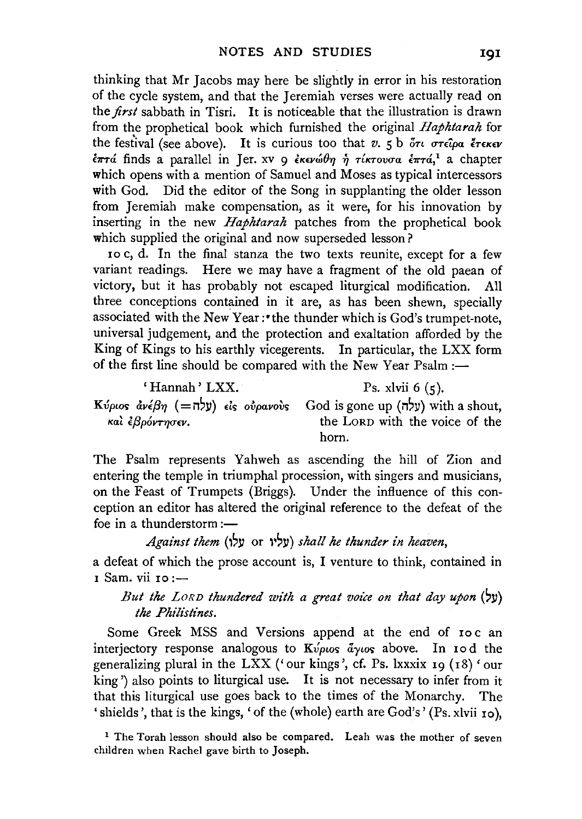thinking that Mr Jacobs may here be slightly in error in his restoration of the cycle system, and that the Jeremiah verses were actually read on the *first* sabbath in Tisri. It is noticeable that the illustration is drawn from the prophetical book which furnished the original *Haphtarah* for the festival (see above). It is curious too that *v*. 5 b ότι στείρα έτεκεν  $\epsilon \pi \tau a$  finds a parallel in Jer. xv 9 *εκενώθη ή τίκτουσα έπτά*,<sup>1</sup> a chapter which opens with a mention of Samuel and Moses as typical intercessors with God. Did the editor of the Song in supplanting the older lesson from Jeremiah make compensation, as it were, for his innovation by inserting in the new *Haphtarah* patches from the prophetical book which supplied the original and now superseded lesson?

ro c, d. In the final stanza the two texts reunite, except for a few variant readings. Here we may have a fragment of the old paean of victory, but it has probably not escaped liturgical modification. All three conceptions contained in it are, as has been shewn, specially associated with the New Year :•the thunder which is God's trumpet-note, universal judgement, and the protection and exaltation afforded by the King of Kings to his earthly vicegerents. In particular, the LXX form of the first line should be compared with the New Year Psalm :-

' Hannah' LXX.  $P_s$ , xlvii 6 (5). K*ύριος ἀνέβη* (=  $\vec{v}$ χ) είς ούρανους God is gone up ( $\vec{v}$ χ) with a shout, και εξρόντησεν.<br>
kal εξρόντησεν.<br> **b**e LORD with the voice of the the LORD with the voice of the horn.

The Psalm represents Yahweh as ascending the hill of Zion and entering the temple in triumphal procession, with singers and musicians, on the Feast of Trumpets (Briggs). Under the influence of this conception an editor has altered the original reference to the defeat of the foe in a thunderstorm: $-$ 

# *Against them* (l'll or l',Y) *shall he thunder in heaven,*

a defeat of which the prose account is, I venture to think, contained in 1 Sam. vii 10 :--

# *But the LORD thundered with a great voice on that day upon* ( $y$ ) *the Philistines.*

Some Greek MSS and Versions append at the end of roc an interjectory response analogous to *Kvpws ayws* above. In 10d the generalizing plural in the LXX ('our kings', cf. Ps. lxxxix 19 (18) 'our king') also points to liturgical use. It is not necessary to infer from it that this liturgical use goes back to the times of the Monarchy. The 'shields', that is the kings, ' of the (whole) earth are God's' (Ps. xlvii 10).

<sup>1</sup> The Torah lesson should also be compared. Leah was the mother of seven children wben Rachel gave birth to Joseph.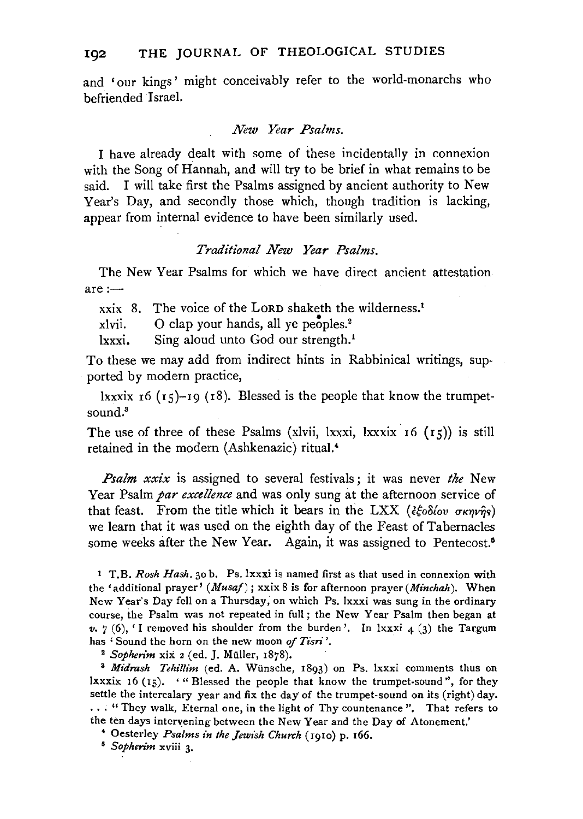and 'our kings' might conceivably refer to the world-monarchs who befriended Israel.

### *New Year Psalms.*

I have already dealt with some of these incidentally in connexion with the Song of Hannah, and will try to be brief in what remains to be said. I will take first the Psalms assigned by ancient authority to New Year's Day, and secondly those which, though tradition is lacking, appear from internal evidence to have been similarly used.

### *Traditional New Year Psalms.*

The New Year Psalms for which we have direct ancient attestation  $are:$ 

xxix 8. The voice of the LoRD shaketh the wilderness.1

 $x$ lvii. O clap your hands, all ye peoples.<sup>2</sup>

lxxxi. Sing aloud unto God our strength.<sup>1</sup>

To these we may add from indirect hints in Rabbinical writings, supported by modern practice,

lxxxix  $r6$  ( $r5$ )- $r9$  ( $r8$ ). Blessed is the people that know the trumpetsound.<sup>3</sup>

The use of three of these Psalms (xlvii, lxxxi, lxxxix  $r(15)$ ) is still retained in the modern (Ashkenazic) ritual.<sup>4</sup>

*Psalm xxix* is assigned to several festivals; it was never *the* New Year Psalm *par excellence* and was only sung at the afternoon service of that feast. From the title which it bears in the LXX ( $\xi \hat{\xi} \delta \delta \hat{\delta} \delta \hat{\sigma} \sigma \kappa \eta \hat{\sigma} \hat{\sigma}$ s) we learn that it was used on the eighth day of the Feast of Tabernacles some weeks after the New Year. Again, it was assigned to Pentecost.<sup>5</sup>

1 T.B. *Rosh Hash.* 30 b. Ps. lxxxi is named first as that used in connexion with the' additional prayer' *(Musaj);* xxix 8 is for afternoon prayer *(Minchah).* When New Year's Day fell on a Thursday; on which Ps. lxxxi was sung in the ordinary course, the Psalm was not repeated in full; the New Year Psalm then began at  $v.$  7 (6), <sup> $\prime$ </sup> I removed his shoulder from the burden'. In lxxxi  $4$  (3) the Targum has 'Sound the horn on the new moon *of Tisri'*.<br><sup>2</sup> *Sopherim* xix 2 (ed. J. Müller, 1878).<br><sup>3</sup> *Midrash Tehillim* (ed. A. Wünsche, 1893) on Ps. lxxxi comments thus on

lxxxix 16 ( $15$ ). '"Blessed the people that know the trumpet-sound", for they settle the intercalary year and fix the day of the trumpet-sound on its (right) day. . • . "They walk, Eternal one, in the light of Thy countenance''. That refers to the ten days intervening between the New Year and the Day of Atonement.'

• Oesterley *Psalms in the Jewish Church* (1910) p. r66. 5 *Sophen"m* xviii 3·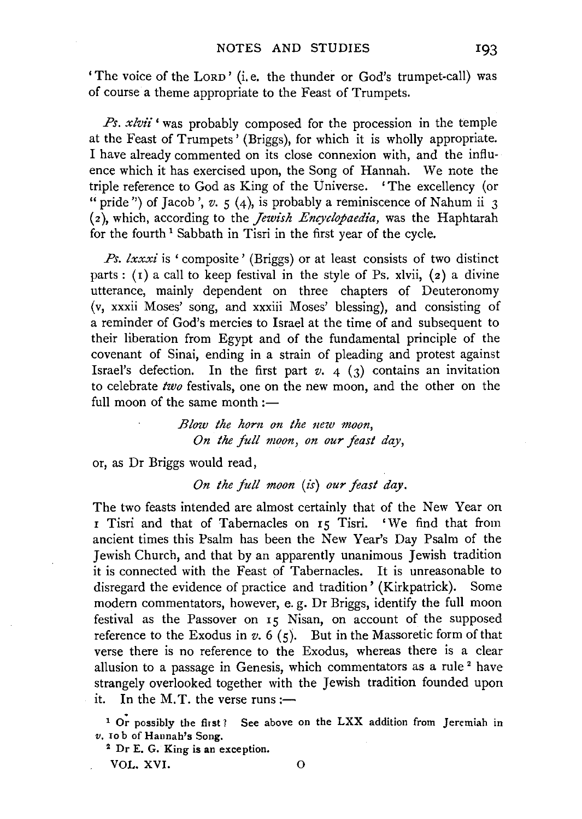'The voice of the LORD' (i.e. the thunder or God's trumpet-call) was of course a theme appropriate to the Feast of Trumpets.

*Ps. xlvii* 'was probably composed for the procession in the temple at the Feast of Trumpets' (Briggs), for which it is wholly appropriate. I have already commented on its close connexion with, and the influence which it has exercised upon, the Song of Hannah. We note the triple reference to God as King of the Universe. 'The excellency (or " pride") of Jacob',  $v. 5$  (4), is probably a reminiscence of Nahum ii 3 (2), which, according to the *Jewish Encyclopaedia,* was the Haphtarah for the fourth 1 Sabbath in Tisri in the first year of the cycle.

*Ps. lxxxi* is 'composite' (Briggs) or at least consists of two distinct parts :  $(1)$  a call to keep festival in the style of Ps. xlvii,  $(2)$  a divine utterance, mainly dependent on three chapters of Deuteronomy (v, xxxii Moses' song, and xxxiii Moses' blessing), and consisting of a reminder of God's mercies to Israel at the time of and subsequent to their liberation from Egypt and of the fundamental principle of the covenant of Sinai, ending in a strain of pleading and protest against Israel's defection. In the first part  $v$ .  $4$  (3) contains an invitation to celebrate *two* festivals, one on the new moon, and the other on the full moon of the same month  $:$   $-$ 

> *Blow the horn on the new moon, On the full moon, on our feast day,*

or, as Dr Briggs would read,

*On the full moon* (is) *our feast day.* 

The two feasts intended are almost certainly that of the New Year on I Tisri and that of Tabernacles on I5 Tisri. 'We find that from ancient times this Psalm has been the New Year's Day Psalm of the Jewish Church, and that by an apparently unanimous Jewish tradition it is connected with the Feast of Tabernacles. It is unreasonable to disregard the evidence of practice and tradition' (Kirkpatrick). Some modern commentators, however, e. g. Dr Briggs, identify the full moon festival as the Passover on  $\overline{15}$  Nisan, on account of the supposed reference to the Exodus in  $v. 6 (5)$ . But in the Massoretic form of that verse there is no reference to the Exodus, whereas there is a clear allusion to a passage in Genesis, which commentators as a rule<sup>2</sup> have strangely overlooked together with the Jewish tradition founded upon it. In the M.T. the verse runs: $\rightarrow$ 

<sup>1</sup> Or possibly the first? See above on the LXX addition from Jeremiah in *v.* Io b of Hannah's Song. 2 Dr E. G. King is an exception.

VOL. XVI. 0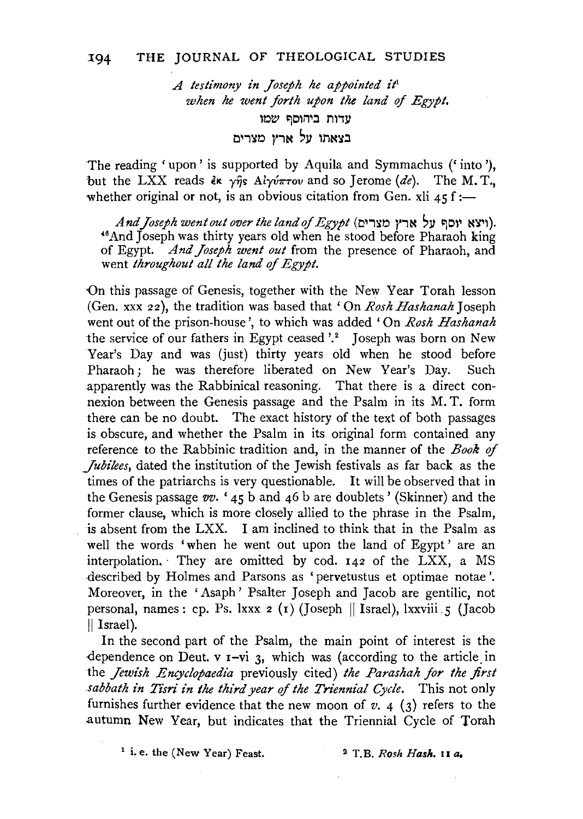*A testimony in Joseph he appointed it*<sup>1</sup> *when he went forth upon the land* of *Egypt.*  עדות ביהוסף שמו בצאתו על ארץ מצרים

The reading ' upon' is supported by Aquila and Symmachus ('into'), but the LXX reads  $\epsilon \kappa$   $\gamma \hat{\eta}$ s Ai $\gamma \hat{\nu} \pi \tau \omega$  and so Jerome *(de)*. The M. T., whether original or not, is an obvious citation from Gen. xli  $45$  f :-

And Joseph went out over the land of Egypt (יוצא יוסף על ארץ מצרים).<br>And Joseph was thirty years old when he stood before Pharaoh king of Egypt. *And Joseph went out* from the presence of Pharaoh, and went *throughout all the land of Egypt.* 

On this passage of Genesis, together with the New Year Torah lesson (Gen. xxx 22), the tradition was based that 'On *Rosh Hashanah* Joseph went out of the prison-house', to which was added 'On *Rosh Hashanah*  the service of our fathers in Egypt ceased '.<sup>2</sup> Joseph was born on New Year's Day and was (just) thirty years old when he stood before Pharaoh; he was therefore liberated on New Year's Day. Such apparently was the Rabbinical reasoning. That there is a direct connexion between the Genesis passage and the Psalm in its M. T. form there can be no doubt. The exact history of the text of both passages is obscure, and whether the Psalm in its original form contained any reference to the Rabbinic tradition and, in the manner of the *Book* of *Jubilees,* dated the institution of the Jewish festivals as far back as the times of the patriarchs is very questionable. It will be observed that in the Genesis passage *vv.* ' 45 b and 46 b are doublets ' (Skinner) and the former clause, which is more closely allied to the phrase in the Psalm, is absent from the LXX. I am inclined to think that in the Psalm as well the words 'when he went out upon the land of Egypt' are an interpolation. · They are omitted by cod. 142 of the LXX, a MS ·described by Holmes and Parsons as 'pervetustus et optimae notae '. Moreover, in the 'Asaph' Psalter Joseph and Jacob are gentilic, not personal, names: cp. Ps. lxxx  $2 (1)$  (Joseph  $\parallel$  Israel), lxxviii 5 (Jacob  $\parallel$  Israel).

In the second part of the Psalm, the main point of interest is the dependence on Deut.  $v = vi$  3, which was (according to the article in the *Jewish Encyclopaedia* previously cited) *the Parashah for the first sabbath in Tisri in the third year of the Triennial Cycle.* This not only furnishes further evidence that the new moon of  $v$ ,  $4$  (3) refers to the autumn New Year, but indicates that the Triennial Cycle of Torah

<sup>1</sup> i. e. the (New Year) Feast. <sup>2</sup> T.B. *Rosh Hash.* 11 *a.*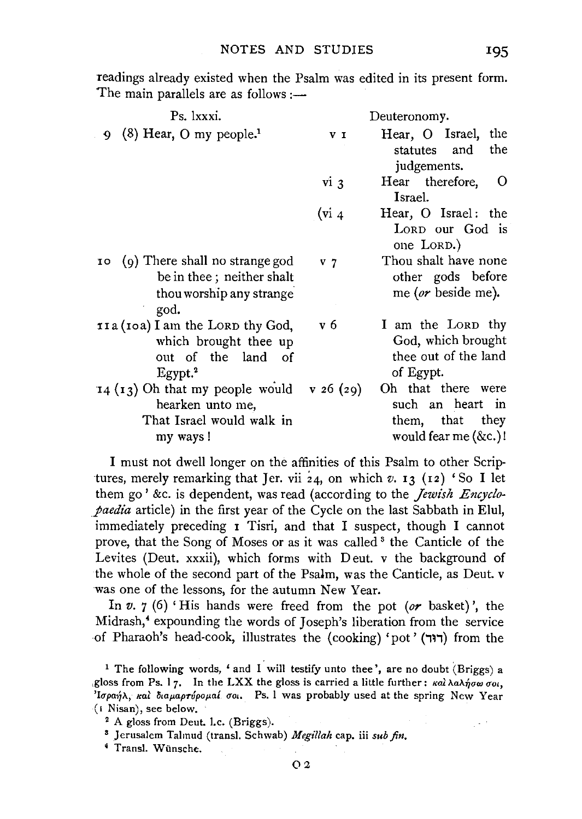readings already existed when the Psalm was edited in its present form. The main parallels are as follows :—

| Ps. 1xxxi.                                                                                                | Deuteronomy.       |                                                                                      |  |
|-----------------------------------------------------------------------------------------------------------|--------------------|--------------------------------------------------------------------------------------|--|
| $(8)$ Hear, O my people. <sup>1</sup><br>۰                                                                | V I                | Hear, O Israel, the<br>statutes and<br>the<br>judgements.                            |  |
|                                                                                                           | vi <sub>3</sub>    | Hear therefore,<br>$\circ$<br>Israel.                                                |  |
|                                                                                                           | (v <sub>i</sub> 4) | Hear, O Israel: the<br>LORD our God is<br>one LORD.)                                 |  |
| (9) There shall no strange god<br>10<br>be in thee; neither shalt<br>thou worship any strange<br>god.     | V <sub>7</sub>     | Thou shalt have none<br>other gods before<br>me (or beside me).                      |  |
| 11a (10a) I am the LORD thy God,<br>which brought thee up<br>out of the land of<br>$E$ gypt. <sup>2</sup> | v 6                | I am the LORD thy<br>God, which brought<br>thee out of the land<br>of Egypt.         |  |
| $14$ ( $13$ ) Oh that my people would<br>hearken unto me,<br>That Israel would walk in<br>my ways!        | v 26 (29)          | Oh that there were<br>such an heart in<br>them, that they<br>would fear me $(\&c.)!$ |  |

I must not dwell longer on the affinities of this Psalm to other Scriptures, merely remarking that Jer. vii  $24$ , on which  $v$ . **13** (12) 'So I let them go' &c. is dependent, was read (according to the *Jewish Encyclopaedia* article) in the first year of the Cycle on the last Sabbath in Elul, immediately preceding I Tisri, and that I suspect, though I cannot prove, that the Song of Moses or as it was called <sup>3</sup> the Canticle of the Levites (Deut. xxxii), which forms with D eut. v the background of the whole of the second part of the Psalm, was the Canticle, as Deut. v was one of the lessons, for the autumn New Year.

In *v.* 7 (6) 'His hands were freed from the pot *(or* basket)', the Midrash,<sup>4</sup> expounding the words of Joseph's liberation from the service of Pharaoh's head-cook, illustrates the (cooking) 'pot' (דוּר) from the

<sup>&</sup>lt;sup>1</sup> The following words, ' and I will testify unto thee', are no doubt (Briggs) a gloss from Ps. 17. In the LXX the gloss is carried a little further:  $\kappa a \lambda \Delta \Lambda_0 \sigma \omega \sigma_0$ . 'Iσραήλ, και διαμαρτύρομαί σοι. Ps. I was probably used at the spring New Year (1 Nisan), see below.<br><sup>2</sup> A gloss from Deut. I.c. (Briggs).

s Jerusalem Talmud (transl. Schwab) *Megillah* cap. iii *sub fin, 4* Transl. Wiinsche.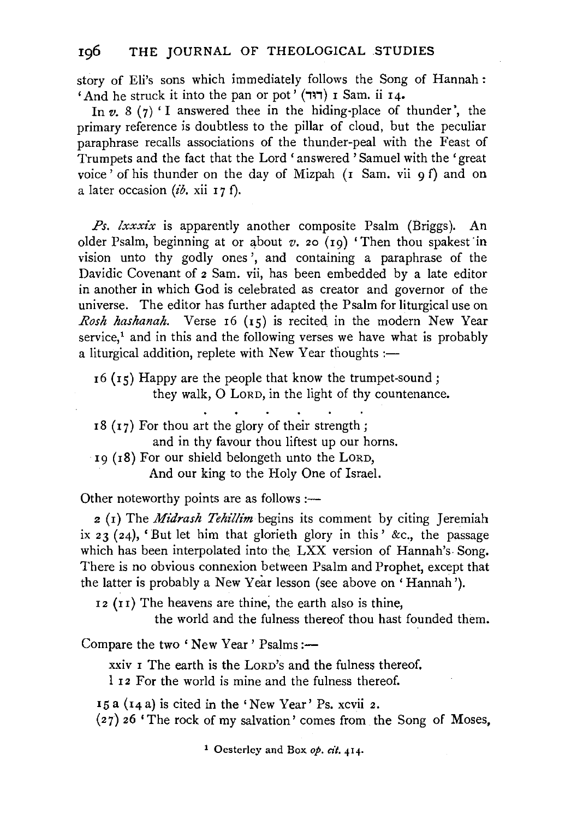story of Eli's sons which immediately follows the Song of Hannah : 'And he struck it into the pan or pot' (דוּר) I Sam. ii I4.

In  $v. 8(7)$  I answered thee in the hiding-place of thunder', the primary reference is doubtless to the pillar of cloud, but the peculiar paraphrase recalls associations of the thunder-peal with the Feast of Trumpets and the fact that the Lord 'answered 'Samuel with the 'great voice' of his thunder on the day of Mizpah (I Sam. vii 9 f) and on a later occasion *(ib*, xii 17 f).

*Ps. lxxxix* is apparently another composite Psalm (Briggs). An older Psalm, beginning at or about  $v$ . 20 (19) 'Then thou spakest in vision unto thy godly ones', and containing a paraphrase of the Davidic Covenant of 2 Sam. vii, has been embedded by a late editor in another in which God is celebrated as creator and governor of the universe. The editor has further adapted the Psalm for liturgical use on *Rosh hashanah.* Verse I6 (15) is recited in the modern New Year service, $<sup>1</sup>$  and in this and the following verses we have what is probably</sup> a liturgical addition, replete with New Year thoughts: $-$ 

 $I_5$  ( $I_5$ ) Happy are the people that know the trumpet-sound; they walk, 0 LoRD, in the light of thy countenance.

 $18$  ( $17$ ) For thou art the glory of their strength; and in thy favour thou liftest up our horns. I9 (I8) For our shield belongeth unto the LORD,

And our king to the Holy One of Israel.

Other noteworthy points are as follows :—

2 (I) The *Midrash Tehillim* begins its comment by citing Jeremiah ix 23 (24), 'But let him that glorieth glory in this' &c., the passage which has been interpolated into the LXX version of Hannah's Song. There is no obvious connexion between Psalm and Prophet, except that the latter is probably a New Year lesson (see above on' Hannah ').

I 2 (I I) The heavens are thine; the earth also is thine,

the world and the fulness thereof thou hast founded them.

Compare the two 'New Year' Psalms:—

xxiv I The earth is the LORD's and the fulness thereof.

1 I2 For the world is mine and the fulness thereof.

 $15a$  ( $14a$ ) is cited in the 'New Year' Ps. xcvii 2. (27) 26 'The rock of my salvation' comes from the Song of Moses,

1 Oesterley and Box *op. cit.* 414.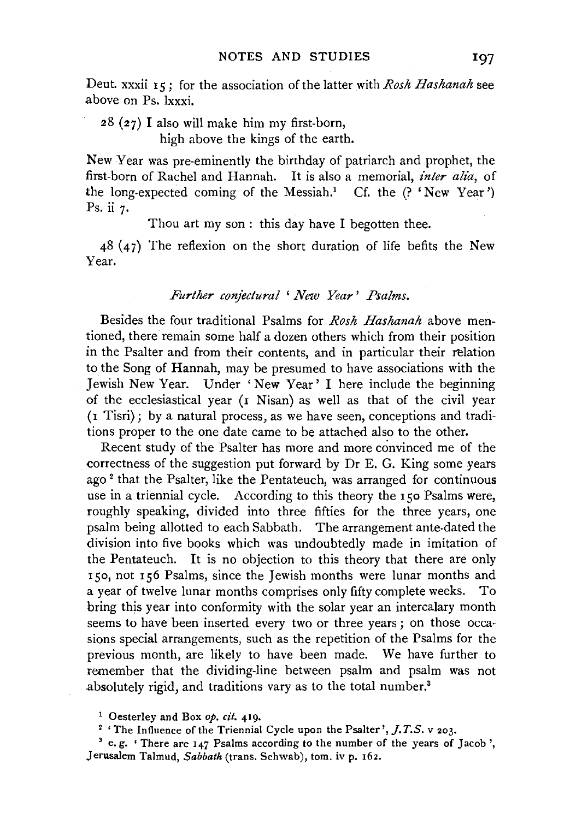Deut. xxxii IS; for the association of the latter with *Rosh Hashanah* see above on Ps. lxxxi.

28 (27) I also will make him my first-born, high above the kings of the earth.

New Year was pre-eminently the birthday of patriarch and prophet, the first-born of Rachel and Hannah. It is also a memorial, *inter alia*, of the long-expected coming of the Messiah.<sup>1</sup> Cf. the  $($ ? 'New Year') Ps. ii 7.

Thou art my son : this day have I begotten thee.

48 (47) The reflexion on the short duration of life befits the New Year.

### *Further conjectural* ' *New Year' Psalms.*

Besides the four traditional Psalms for *Rosh Hashanah* above mentioned, there remain some half a dozen others which from their position in the Psalter and from their contents, and in particular their relation to the Song of Hannah, may be presumed to have associations with the Jewish New Year. Under 'New Year' I here include the beginning of the ecclesiastical year (r Nisan) as well as that of the civil year (1 Tisri); by a natural process, as we have seen, conceptions and traditions proper to the one date came to be attached also to the other.

Recent study of the Psalter has more and more convinced me of the correctness of the suggestion put forward by Dr E. G. King some years ago<sup>2</sup> that the Psalter, like the Pentateuch, was arranged for continuous use in a triennial cycle. According to this theory the I *so* Psalms were, roughly speaking, divided into three fifties for the three years, one psalm being allotted to each Sabbath. The arrangement ante-dated the division into five books which was undoubtedly made in imitation of the Pentateuch. It is no objection to this theory that there are only 150, not 156 Psalms, since the Jewish months were lunar months and a year of twelve lunar months comprises only fifty complete weeks. To bring this year into conformity with the solar year an intercalary month seems to have been inserted every two or three years; on those occasions special arrangements, such as the repetition of the Psalms for the previous month, are likely to have been made. We have further to remember that the dividing-line between psalm and psalm was not absolutely rigid, and traditions vary as to the total number.<sup>3</sup>

<sup>&</sup>lt;sup>1</sup> Oesterley and Box *op. cit.* 419.<br><sup>2</sup> 'The Influence of the Triennial Cycle upon the Psalter', *J.T.S.* v 203.

<sup>&</sup>lt;sup>3</sup> e.g. 'There are 147 Psalms according to the number of the years of Jacob ', Jerusalem Talmud, *Sabbath* (trans. Schwab), tom. iv p. 162.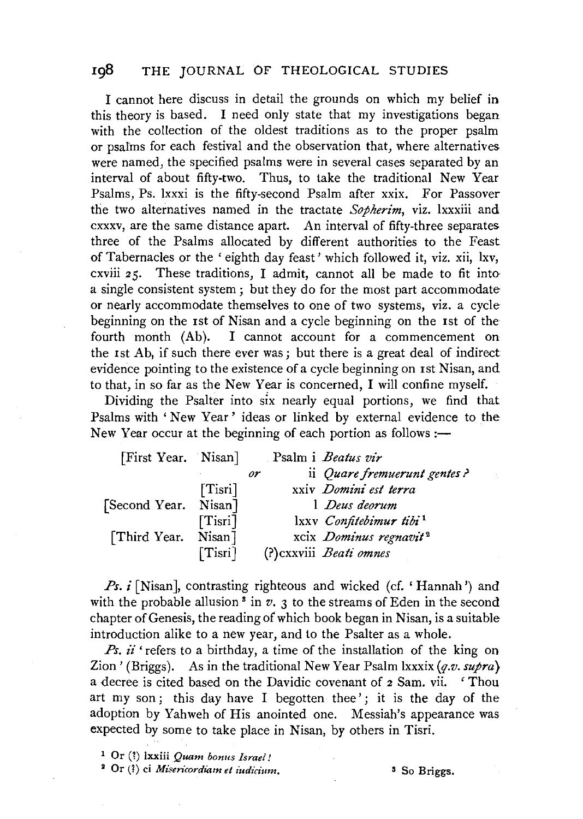# **198** THE JOURNAL OF THEOLOGICAL STUDIES

I cannot here discuss in detail the grounds on which my belief in this theory is based. I need only state that my investigations began with the collection of the oldest traditions as to the proper psalm or psaims for each festival and the observation that, where alternatives were named, the specified psalms were in several cases separated by an interval of about fifty-two. Thus, to take the traditional New Year Psalms, Ps. lxxxi is the fifty-second Psalm after xxix. For Passover the two alternatives named in the tractate *Sopherim,* viz. lxxxiii and cxxxv, are the same distance apart. An interval of fifty-three separates three of the Psalms allocated by different authorities to the Feast of Tabernacles or the ' eighth day feast' which followed it, viz. xii, lxv, cxviii 25. These traditions, I admit, cannot all be made to fit into a single consistent system; but they do for the most part accommodate or nearly accommodate themselves to one of two systems, viz. a cycle beginning on the 1st of Nisan and a cycle beginning on the Ist of the fourth month (Ab). I cannot account for a commencement on the Ist Ab, if such there ever was; but there is a great deal of indirect evidence pointing to the existence of a cycle beginning on rst Nisan, and to that, in so far as the New Year is concerned, I will confine myself.

Dividing the Psalter into six nearly equal portions, we find that Psalms with ' New Year ' ideas or linked by external evidence to the New Year occur at the beginning of each portion as follows: $\rightarrow$ 

| [First Year. Nisan]  |         | Psalm i <i>Beatus vir</i>           |
|----------------------|---------|-------------------------------------|
|                      |         | ii Quare fremuerunt gentes?<br>or   |
|                      | [Tisri] | xxiv Domini est terra               |
| [Second Year. Nisan] |         | 1 Deus deorum                       |
|                      | [Tisri] | lxxv Confitebimur tibi <sup>1</sup> |
| [Third Year. Nisan]  |         | xcix Dominus regnavit <sup>2</sup>  |
|                      | [Tisri] | (?) cxxviii Beati omnes             |

*Ps. i* [Nisan], contrasting righteous and wicked (cf. 'Hannah') and with the probable allusion<sup>3</sup> in  $v$ ,  $\overline{3}$  to the streams of Eden in the second chapter of Genesis, the reading of which book began in Nisan, is a suitable introduction alike to a new year, and to the Psalter as a whole.

*Ps. ii* 'refers to a birthday, a time of the installation of the king on Zion ' (Briggs ). As in the traditional New Year Psalm lxxxix *(q.v. supra}*  a decree is cited based on the Davidic covenant of 2 Sam. vii. 'Thou art my son; this day have I begotten thee'; it is the day of the adoption by Yahweh of His anointed one. Messiah's appearance was expected by some to take place in Nisan, by others in Tisri.

1 Or (1) lxxiii *Quam bonus Israel!* 

<sup>2</sup> Or (?) ci *Misericordiam et iudicium*. <sup>3</sup> So Briggs.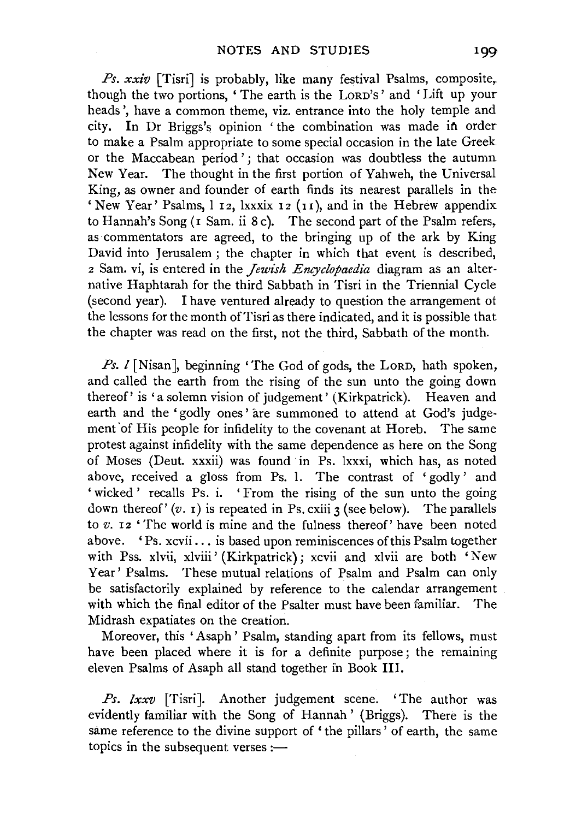*Ps. xxiv* [Tisri] is probably, like many festival Psalms, composite, though the two portions, ' The earth is the LoRD's' and 'Lift up your heads', have a common theme, viz. entrance into the holy temple and city. In Dr Briggs's opinion 'the combination was made in order to make a Psalm appropriate to some special occasion in the late Greek or the Maccabean period '; that occasion was doubtless the autumn New Year. The thought in the first portion of Yahweh, the Universal King, as owner and founder of earth finds its nearest parallels in the ' New Year' Psalms, 1 12, lxxxix 12 (11), and in the Hebrew appendix to Hannah's Song (1 Sam. ii 8 c). The second part of the Psalm refers, as commentators are agreed, to the bringing up of the ark by King David into Jerusalem; the chapter in which that event is described, 2 Sam. vi, is entered in the *Jewish Encyclopaedia* diagram as an alternative Haphtarah for the third Sabbath in Tisri in the Triennial Cycle (second year). I have ventured already to question the arrangement of the lessons for the month of Tisri as there indicated, and it is possible that the chapter was read on the first, not the third, Sabbath of the month.

Ps. *l* [Nisan], beginning 'The God of gods, the LORD, hath spoken, and called the earth from the rising of the sun unto the going down thereof' is 'a solemn vision of judgement' (Kirkpatrick). Heaven and earth and the 'godly ones' are summoned to attend at God's judgement 'of His people for infidelity to the covenant at Horeb. The same protest against infidelity with the same dependence as here on the Song of Moses (Deut. xxxii) was found in Ps. lxxxi, which has, as noted above, received a gloss from Ps. l. The contrast of ' godly' and 'wicked' recalls Ps. i. 'From the rising of the sun unto the going down thereof'  $(v, t)$  is repeated in Ps. cxiii 3 (see below). The parallels to *v.* r2 'The world is mine and the fulness thereof' have been noted above. 'Ps. xcvii ... is based upon reminiscences of this Psalm together with Pss. xlvii, xlviii' (Kirkpatrick); xcvii and xlvii are both 'New Year' Psalms. These mutual relations of Psalm and Psalm can only be satisfactorily explained by reference to the calendar arrangement with which the final editor of the Psalter must have been familiar. The Midrash expatiates on the creation.

Moreover, this 'Asaph' Psalm, standing apart from its fellows, must have been placed where it is for a definite purpose; the remaining eleven Psalms of Asaph all stand together in Book Ill.

*Ps. lxxv* [Tisri]. Another judgement scene. 'The author was evidently familiar with the Song of Hannah' (Briggs). There is the same reference to the divine support of 'the pillars' of earth, the same topics in the subsequent verses : $-$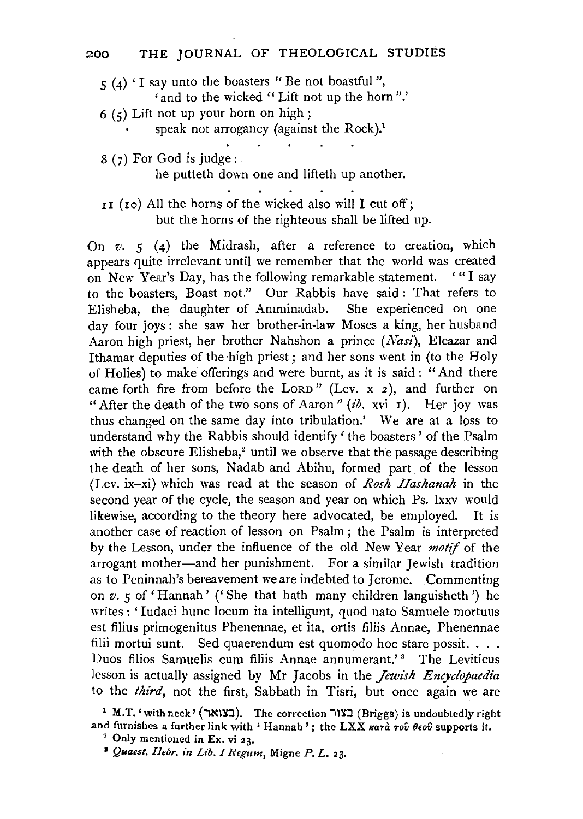- $5$  (4) 'I say unto the boasters "Be not boastful",
	- 'and to the wicked " Lift not up the horn".'
- 6 (5) Lift not up your horn on high;
	- speak not arrogancy (against the Rock).<sup>1</sup>
- $8(7)$  For God is judge:

he putteth down one and lifteth up another.

II (Io) All the horns of the wicked also will I cut off; but the horns of the righteous shall be lifted up.

On *v.* 5 (4) the Midrash, after a reference to creation, which appears quite irrelevant until we remember that the world was created on New Year's Day, has the following remarkable statement. '"I say to the boasters, Boast not." Our Rabbis have said : That refers to Elisheba, the daughter of Amminadab. She experienced on one day four joys : she saw her brother-in-law Moses a king, her husband Aaron high priest, her brother Nahshon a prince *(Nasi),* Eleazar and Ithamar deputies of the high priest; and her sons went in (to the Holy of Holies) to make offerings and were burnt, as it is said: "And there came forth fire from before the LORD" (Lev.  $x$  2), and further on "After the death of the two sons of Aaron" *(ib.* xvi 1). Her joy was thus changed on the same day into tribulation.' We are at a lpss to understand why the Rabbis should identify ' the boasters ' of the Psalm with the obscure Elisheba,<sup>2</sup> until we observe that the passage describing the death of her sons, Nadab and Abihu, formed part of the lesson (Lev. ix-xi) which was read at the season of *Rosh Hashanah* in the second year of the cycle, the season and year on which Ps. lxxv would likewise, according to the theory here advocated, be employed. It is another case of reaction of lesson on Psalm ; the Psalm is interpreted by the Lesson, under the influence of the old New Year *motif* of the arrogant mother-and her punishment. For a similar Jewish tradition as to Peninnah's bereavement we are indebted to Jerome. Commenting on v. 5 of 'Hannah' ('She that hath many children languisheth') he writes: 'Iudaei hunc locum ita intelligunt, quod nato Samuele mortuus est filius primogenitus Phenennae, et ita, ortis filiis Annae, Phenennae filii mortui sunt. Sed quaerendum est quomodo hoc stare possit. . . . Duos filios Samuelis cum filiis Annae annumerant.'<sup>3</sup> The Leviticus lesson is actually assigned by Mr Jacobs in the *Jewish Encyclopaedia*  to the *third,* not the first, Sabbath in Tisri, but once again we are

<sup>1</sup> M.T. 'with neck' (בצואר). The correction  $\sim$  (Briggs) is undoubtedly right and furnishes a further link with ' Hannah'; the LXX  $\kappa a \tau \dot{a} \tau o \hat{v}$   $\theta \epsilon o \hat{v}$  supports it.<br><sup>2</sup> Only mentioned in Ex. vi 23.<br><sup>8</sup> Quaest. Hebr. in Lib. I Regum, Migne *P. L.* 23.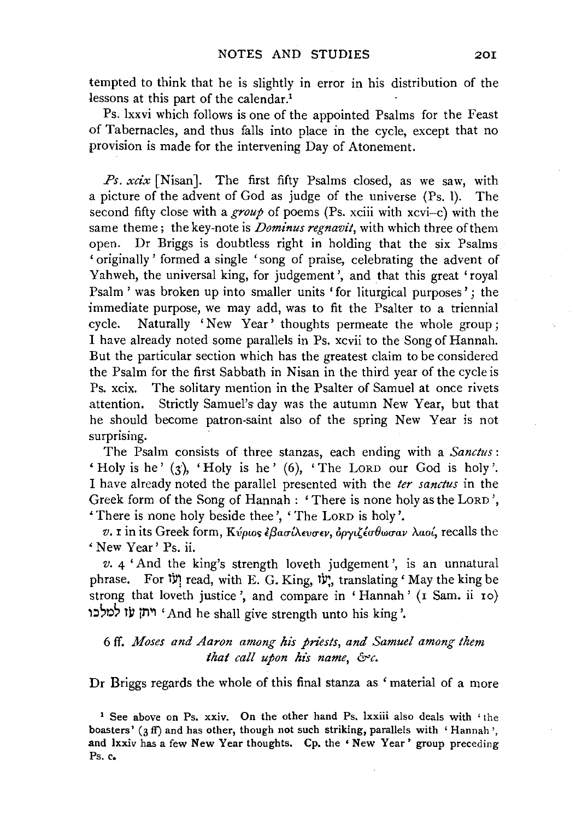tempted to think that he is slightly in error in his distribution of the lessons at this part of the calendar.<sup>1</sup>

Ps. lxxvi which follows is one of the appointed Psalms for the Feast of Tabernacles, and thus falls into place in the cycle, except that no provision is made for the intervening Day of Atonement.

*Ps. xcix* [Nisan]. The first fifty Psalms closed, as we saw, with a picture of the advent of God as judge of the universe (Ps. 1). The second fifty close with a *group* of poems (Ps. xciii with xcvi-c) with the same theme; the key-note is *Dominus regnavit,* with which three of them open. Dr Briggs is doubtless right in holding that the six Psalms ' originally' formed a single 'song of praise, celebrating the advent of Yahweh, the universal king, for judgement', and that this great 'royal Psalm ' was broken up into smaller units 'for liturgical purposes' ; the immediate purpose, we may add, was to fit the Psalter to a triennial cycle. Naturally 'New Year' thoughts permeate the whole group; I have already noted some parallels in Ps. xcvii to the Song of Hannah. But the particular section which has the greatest claim to be considered the Psalm for the first Sabbath in Nisan in the third year of the cycle is Ps. xcix. The solitary mention in the Psalter of Samuel at once rivets attention. Strictly Samuel's day was the autumn New Year, but that he should become patron-saint also of the spring New Year is not surprising.

The Psalm consists of three stanzas, each ending with a *Sanctus* : Holy is he' (3), 'Holy is he' (6), 'The LORD our God is holy'. I have already noted the parallel presented with the *ter sanctus* in the Greek form of the Song of Hannah : ' There is none holy as the LORD ', There is none holy beside thee', 'The LoRD is holy'.

*v.* I in its Greek form, *Kvpws lf3aa-{/..wrnv, opyt,ia-Owa-av Aao{,* recalls the 'New Year' Ps. ii.

*v.* 4 'And the king's strength loveth judgement ', is an unnatural phrase. For יָעוֹ read, with E. G. King, יָשׁ, translating ' May the king be strong that loveth justice', and compare in 'Hannah' (I Sam. ii 10) t:l~r.l~ tll iM'' 'And he shall give strength unto his king'.

# 6 ff. *Moses and Aaron among his priests, and Samuel among them*  that call upon his name, &c.

Dr Briggs regards the whole of this final stanza as 'material of a more

<sup>&</sup>lt;sup>1</sup> See above on Ps. xxiv. On the other hand Ps. lxxiii also deals with 'the boasters' (3 ff) and has other, though not such striking, parallels with 'Hannah', and lxxiv has a few New Year thoughts. Cp. the 'New Year' group preceding Ps. c.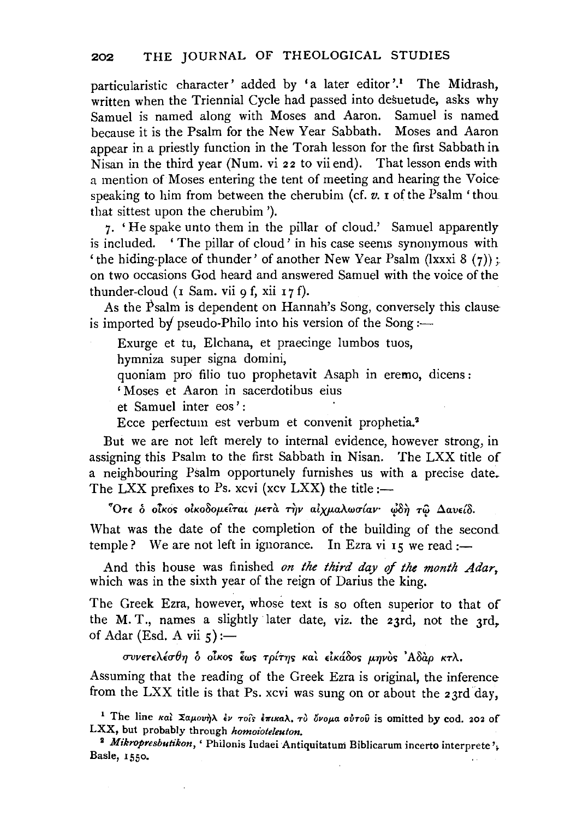particularistic character' added by 'a later editor'.<sup>1</sup> The Midrash, written when the Triennial Cycle had passed into desuetude, asks why Samuel is named along with Moses and Aaron. Samuel is named because it is the Psalm for the New Year Sabbath. Moses and Aaron appear in a priestly function in the Torah lesson for the first Sabbath in Nisan in the third year (Num. vi 22 to vii end). That lesson ends with a mention of Moses entering the tent of meeting and hearing the Voice· speaking to him from between the cherubim (cf. *v.* I of the Psalm 'thou that sittest upon the cherubim').

7. 'He spake unto them in the pillar of cloud.' Samuel apparently is included. ' The pillar of cloud ' in his case seems synonymous with 'the hiding-place of thunder' of another New Year Psalm (lxxxi  $8(7)$ ); on two occasions God heard and answered Samuel with the voice of the thunder-cloud ( $\bar{1}$  Sam. vii 9 f, xii  $\bar{1}$  7 f).

As the  $P$ salm is dependent on Hannah's Song, conversely this clause is imported by pseudo-Philo into his version of the Song:—

Exurge et tu, Elchana, et praecinge Jumbos tuos,

hymniza super signa domini,

quoniam pro filio tuo prophetavit Asaph in eremo, dicens :

'Moses et Aaron in sacerdotibus eius

et Samuel inter eos' :

Ecce perfectum est verbum et convenit prophetia.2

But we are not left merely to internal evidence, however strong, in assigning this Psalm to the first Sabbath in Nisan. The LXX title of a neighbouring Psalm opportunely furnishes us with a precise date. The LXX prefixes to Ps. xcvi (xcv LXX) the title: $-$ 

<sup>7</sup>Οτε δ οίκος οικοδομείται μετὰ τὴν αιχμαλωσίαν· φδὴ τῷ Δαυείδ. What was the date of the completion of the building of the second temple? We are not left in ignorance. In Ezra vi 15 we read :-

And this house was finished *on the third day* of *the month Adar,*  which was in the sixth year of the reign of Darius the king.

The Greek Ezra, however, whose text is so often superior to that of the M. T., names a slightly later date, viz. the 23rd, not the 3rd, of Adar (Esd. A vii  $\zeta$ ) :-

*CTVV£T£A£CT8'YJ* o *oTKos lws Tp{T'fJs Kal* dKa8o~ *p.'fJv6s 'ASap KTA.* 

Assuming that the reading of the Greek Ezra is original, the inference from the LXX title is that Ps. xcvi was sung on or about the 23rd day,

<sup>&</sup>lt;sup>1</sup> The line και Σαμουήλ έν τοιs επικαλ. το όνομα αυτού is omitted by cod. 202 of LXX, but probably through *homoioteleuton.* 

<sup>&</sup>lt;sup>2</sup> Mikropresbutikon, ' Philonis Iudaei Antiquitatum Biblicarum incerto interprete',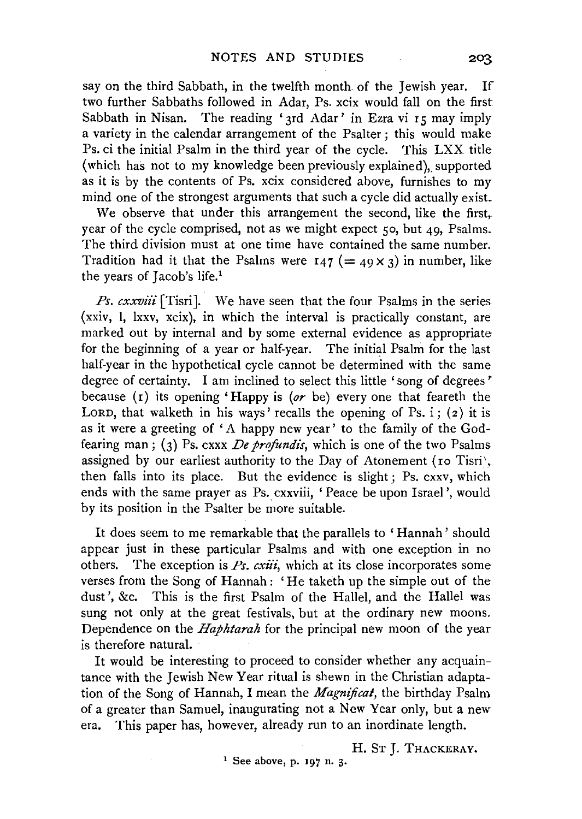say on the third Sabbath, in the twelfth month of the Jewish year. If two further Sabbaths followed in Adar, Ps. xcix would fall on the first Sabbath in Nisan. The reading '3rd Adar' in Ezra vi 15 may imply a variety in the calendar arrangement of the Psalter ; this would make Ps. ci the initial Psalm in the third year of the cycle. This LXX title (which has not to my knowledge been previously explained), supported as it is by the contents of Ps. xcix considered above, furnishes to my mind one of the strongest arguments that such a cycle did actually exist.

We observe that under this arrangement the second, like the first, year of the cycle comprised, not as we might expect *so,* but 49, Psalms. The third division must at one time have contained the same number. Tradition had it that the Psalms were  $I_4$   $( = 49 \times 3)$  in number, like the years of Jacob's life.<sup>1</sup>

*Ps. cxxviii* [Tisri]. We have seen that the four Psalms in the series (xxiv, 1, lxxv, xcix), in which the interval is practically constant, are marked out by internal and by some external evidence as appropriate for the beginning of a year or half-year. The initial Psalm for the last half-year in the hypothetical cycle cannot be determined with the same degree of certainty. I am inclined to select this little 'song of degrees' because (r) its opening 'Happy is *(or* be) every one that feareth the LORD, that walketh in his ways' recalls the opening of Ps. i; (2) it is as it were a greeting of 'A happy new year' to the family of the Godfearing man; (3) Ps. cxxx *De profundis*, which is one of the two Psalms assigned by our earliest authority to the Day of Atonement (10 Tisri', then falls into its place. But the evidence is slight; Ps. cxxv, which ends with the same prayer as Ps. cxxviii, 'Peace be upon Israel', would by its position in the Psalter be more suitable.

It does seem to me remarkable that the parallels to 'Hannah' should appear just in these particular Psalms and with one exception in no others. The exception is *Ps. cxiii*, which at its close incorporates some verses from the Song of Hannah : 'He taketh up the simple out of the dust', &c. This is the first Psalm of the Hallel, and the Hallel was sung not only at the great festivals, but at the ordinary new moons. Dependence on the *Haphtarah* for the principal new moon of the year is therefore natural.

It would be interesting to proceed to consider whether any acquaintance with the Jewish New Year ritual is shewn in the Christian adaptation of the Song of Hannah, I mean the *Magnificat,* the birthday Psalm of a greater than Samuel, inaugurating not a New Year only, but a new era. This paper has, however, already run to an inordinate length.